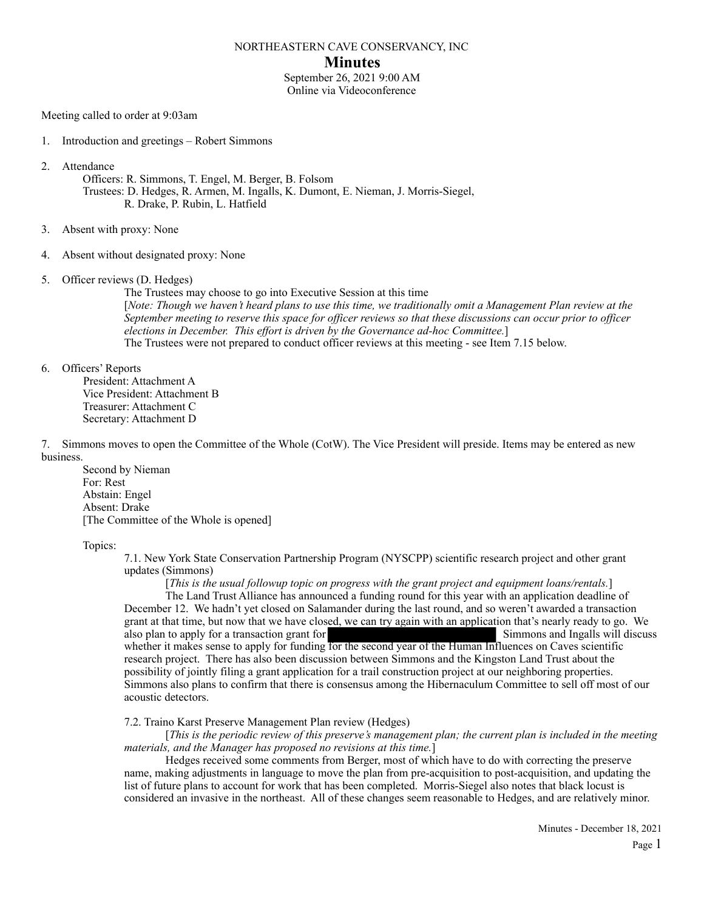### NORTHEASTERN CAVE CONSERVANCY, INC

## **Minutes**

September 26, 2021 9:00 AM Online via Videoconference

Meeting called to order at 9:03am

1. Introduction and greetings – Robert Simmons

2. Attendance

Officers: R. Simmons, T. Engel, M. Berger, B. Folsom

 Trustees: D. Hedges, R. Armen, M. Ingalls, K. Dumont, E. Nieman, J. Morris-Siegel, R. Drake, P. Rubin, L. Hatfield

3. Absent with proxy: None

4. Absent without designated proxy: None

5. Officer reviews (D. Hedges)

 The Trustees may choose to go into Executive Session at this time [*Note: Though we haven't heard plans to use this time, we traditionally omit a Management Plan review at the September meeting to reserve this space for officer reviews so that these discussions can occur prior to officer elections in December. This effort is driven by the Governance ad-hoc Committee.*] The Trustees were not prepared to conduct officer reviews at this meeting - see Item 7.15 below.

6. Officers' Reports

 President: Attachment A Vice President: Attachment B Treasurer: Attachment C Secretary: Attachment D

7. Simmons moves to open the Committee of the Whole (CotW). The Vice President will preside. Items may be entered as new business.

 Second by Nieman For: Rest Abstain: Engel Absent: Drake [The Committee of the Whole is opened]

Topics:

7.1. New York State Conservation Partnership Program (NYSCPP) scientific research project and other grant updates (Simmons)

[*This is the usual followup topic on progress with the grant project and equipment loans/rentals.*]

 The Land Trust Alliance has announced a funding round for this year with an application deadline of December 12. We hadn't yet closed on Salamander during the last round, and so weren't awarded a transaction grant at that time, but now that we have closed, we can try again with an application that's nearly ready to go. We also plan to apply for a transaction grant for solution of Simmons and Ingalls will discuss whether it makes sense to apply for funding for the second year of the Human Influences on Caves scientific research project. There has also been discussion between Simmons and the Kingston Land Trust about the possibility of jointly filing a grant application for a trail construction project at our neighboring properties. Simmons also plans to confirm that there is consensus among the Hibernaculum Committee to sell off most of our acoustic detectors.

7.2. Traino Karst Preserve Management Plan review (Hedges)

 [*This is the periodic review of this preserve's management plan; the current plan is included in the meeting materials, and the Manager has proposed no revisions at this time.*]

 Hedges received some comments from Berger, most of which have to do with correcting the preserve name, making adjustments in language to move the plan from pre-acquisition to post-acquisition, and updating the list of future plans to account for work that has been completed. Morris-Siegel also notes that black locust is considered an invasive in the northeast. All of these changes seem reasonable to Hedges, and are relatively minor.

Minutes - December 18, 2021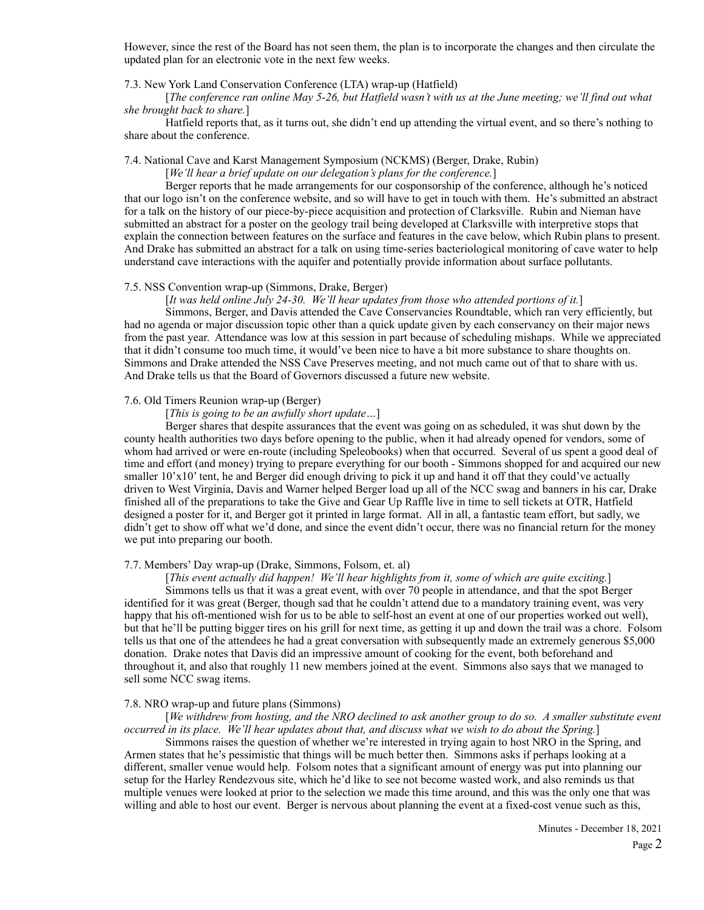However, since the rest of the Board has not seen them, the plan is to incorporate the changes and then circulate the updated plan for an electronic vote in the next few weeks.

#### 7.3. New York Land Conservation Conference (LTA) wrap-up (Hatfield)

 [*The conference ran online May 5-26, but Hatfield wasn't with us at the June meeting; we'll find out what she brought back to share.*]

 Hatfield reports that, as it turns out, she didn't end up attending the virtual event, and so there's nothing to share about the conference.

7.4. National Cave and Karst Management Symposium (NCKMS) (Berger, Drake, Rubin)

[*We'll hear a brief update on our delegation's plans for the conference.*]

 Berger reports that he made arrangements for our cosponsorship of the conference, although he's noticed that our logo isn't on the conference website, and so will have to get in touch with them. He's submitted an abstract for a talk on the history of our piece-by-piece acquisition and protection of Clarksville. Rubin and Nieman have submitted an abstract for a poster on the geology trail being developed at Clarksville with interpretive stops that explain the connection between features on the surface and features in the cave below, which Rubin plans to present. And Drake has submitted an abstract for a talk on using time-series bacteriological monitoring of cave water to help understand cave interactions with the aquifer and potentially provide information about surface pollutants.

### 7.5. NSS Convention wrap-up (Simmons, Drake, Berger)

### [*It was held online July 24-30. We'll hear updates from those who attended portions of it.*]

 Simmons, Berger, and Davis attended the Cave Conservancies Roundtable, which ran very efficiently, but had no agenda or major discussion topic other than a quick update given by each conservancy on their major news from the past year. Attendance was low at this session in part because of scheduling mishaps. While we appreciated that it didn't consume too much time, it would've been nice to have a bit more substance to share thoughts on. Simmons and Drake attended the NSS Cave Preserves meeting, and not much came out of that to share with us. And Drake tells us that the Board of Governors discussed a future new website.

### 7.6. Old Timers Reunion wrap-up (Berger)

[*This is going to be an awfully short update…*]

 Berger shares that despite assurances that the event was going on as scheduled, it was shut down by the county health authorities two days before opening to the public, when it had already opened for vendors, some of whom had arrived or were en-route (including Speleobooks) when that occurred. Several of us spent a good deal of time and effort (and money) trying to prepare everything for our booth - Simmons shopped for and acquired our new smaller  $10^{\circ}x10^{\circ}$  tent, he and Berger did enough driving to pick it up and hand it off that they could've actually driven to West Virginia, Davis and Warner helped Berger load up all of the NCC swag and banners in his car, Drake finished all of the preparations to take the Give and Gear Up Raffle live in time to sell tickets at OTR, Hatfield designed a poster for it, and Berger got it printed in large format. All in all, a fantastic team effort, but sadly, we didn't get to show off what we'd done, and since the event didn't occur, there was no financial return for the money we put into preparing our booth.

### 7.7. Members' Day wrap-up (Drake, Simmons, Folsom, et. al)

[*This event actually did happen! We'll hear highlights from it, some of which are quite exciting.*]

 Simmons tells us that it was a great event, with over 70 people in attendance, and that the spot Berger identified for it was great (Berger, though sad that he couldn't attend due to a mandatory training event, was very happy that his oft-mentioned wish for us to be able to self-host an event at one of our properties worked out well), but that he'll be putting bigger tires on his grill for next time, as getting it up and down the trail was a chore. Folsom tells us that one of the attendees he had a great conversation with subsequently made an extremely generous \$5,000 donation. Drake notes that Davis did an impressive amount of cooking for the event, both beforehand and throughout it, and also that roughly 11 new members joined at the event. Simmons also says that we managed to sell some NCC swag items.

#### 7.8. NRO wrap-up and future plans (Simmons)

 [*We withdrew from hosting, and the NRO declined to ask another group to do so. A smaller substitute event occurred in its place. We'll hear updates about that, and discuss what we wish to do about the Spring.*]

 Simmons raises the question of whether we're interested in trying again to host NRO in the Spring, and Armen states that he's pessimistic that things will be much better then. Simmons asks if perhaps looking at a different, smaller venue would help. Folsom notes that a significant amount of energy was put into planning our setup for the Harley Rendezvous site, which he'd like to see not become wasted work, and also reminds us that multiple venues were looked at prior to the selection we made this time around, and this was the only one that was willing and able to host our event. Berger is nervous about planning the event at a fixed-cost venue such as this,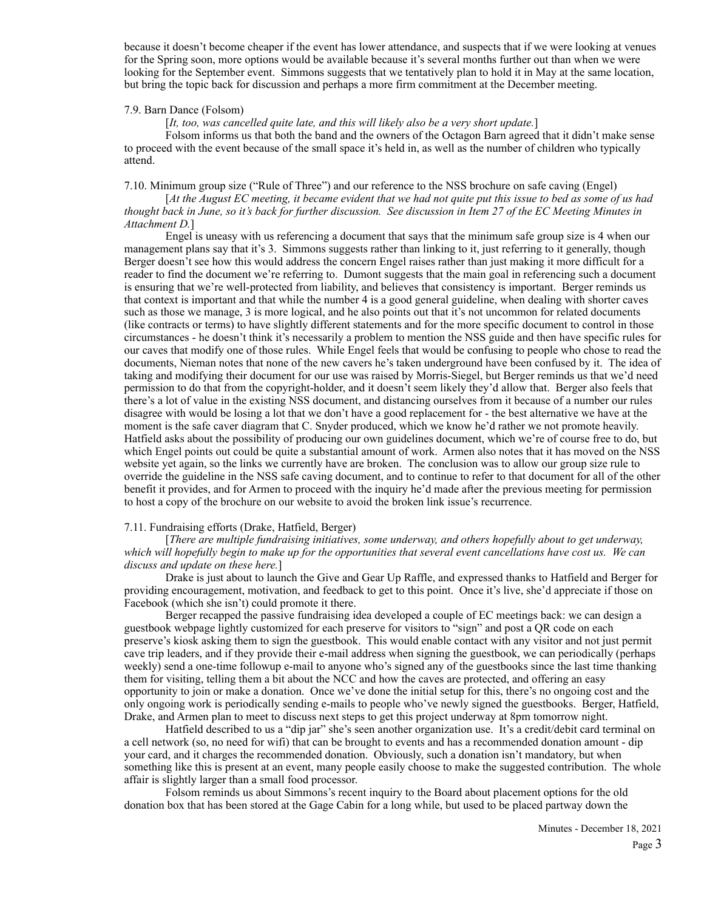because it doesn't become cheaper if the event has lower attendance, and suspects that if we were looking at venues for the Spring soon, more options would be available because it's several months further out than when we were looking for the September event. Simmons suggests that we tentatively plan to hold it in May at the same location, but bring the topic back for discussion and perhaps a more firm commitment at the December meeting.

#### 7.9. Barn Dance (Folsom)

[*It, too, was cancelled quite late, and this will likely also be a very short update.*]

 Folsom informs us that both the band and the owners of the Octagon Barn agreed that it didn't make sense to proceed with the event because of the small space it's held in, as well as the number of children who typically attend.

7.10. Minimum group size ("Rule of Three") and our reference to the NSS brochure on safe caving (Engel)

 [*At the August EC meeting, it became evident that we had not quite put this issue to bed as some of us had thought back in June, so it's back for further discussion. See discussion in Item 27 of the EC Meeting Minutes in Attachment D.*]

 Engel is uneasy with us referencing a document that says that the minimum safe group size is 4 when our management plans say that it's 3. Simmons suggests rather than linking to it, just referring to it generally, though Berger doesn<sup>3</sup>t see how this would address the concern Engel raises rather than just making it more difficult for a reader to find the document we're referring to. Dumont suggests that the main goal in referencing such a document is ensuring that we're well-protected from liability, and believes that consistency is important. Berger reminds us that context is important and that while the number 4 is a good general guideline, when dealing with shorter caves such as those we manage, 3 is more logical, and he also points out that it's not uncommon for related documents (like contracts or terms) to have slightly different statements and for the more specific document to control in those circumstances - he doesn't think it's necessarily a problem to mention the NSS guide and then have specific rules for our caves that modify one of those rules. While Engel feels that would be confusing to people who chose to read the documents, Nieman notes that none of the new cavers he's taken underground have been confused by it. The idea of taking and modifying their document for our use was raised by Morris-Siegel, but Berger reminds us that we'd need permission to do that from the copyright-holder, and it doesn't seem likely they'd allow that. Berger also feels that there's a lot of value in the existing NSS document, and distancing ourselves from it because of a number our rules disagree with would be losing a lot that we don't have a good replacement for - the best alternative we have at the moment is the safe caver diagram that C. Snyder produced, which we know he'd rather we not promote heavily. Hatfield asks about the possibility of producing our own guidelines document, which we're of course free to do, but which Engel points out could be quite a substantial amount of work. Armen also notes that it has moved on the NSS website yet again, so the links we currently have are broken. The conclusion was to allow our group size rule to override the guideline in the NSS safe caving document, and to continue to refer to that document for all of the other benefit it provides, and for Armen to proceed with the inquiry he'd made after the previous meeting for permission to host a copy of the brochure on our website to avoid the broken link issue's recurrence.

### 7.11. Fundraising efforts (Drake, Hatfield, Berger)

 [*There are multiple fundraising initiatives, some underway, and others hopefully about to get underway, which will hopefully begin to make up for the opportunities that several event cancellations have cost us. We can discuss and update on these here.*]

 Drake is just about to launch the Give and Gear Up Raffle, and expressed thanks to Hatfield and Berger for providing encouragement, motivation, and feedback to get to this point. Once it's live, she'd appreciate if those on Facebook (which she isn't) could promote it there.

 Berger recapped the passive fundraising idea developed a couple of EC meetings back: we can design a guestbook webpage lightly customized for each preserve for visitors to "sign" and post a QR code on each preserve's kiosk asking them to sign the guestbook. This would enable contact with any visitor and not just permit cave trip leaders, and if they provide their e-mail address when signing the guestbook, we can periodically (perhaps weekly) send a one-time followup e-mail to anyone who's signed any of the guestbooks since the last time thanking them for visiting, telling them a bit about the NCC and how the caves are protected, and offering an easy opportunity to join or make a donation. Once we've done the initial setup for this, there's no ongoing cost and the only ongoing work is periodically sending e-mails to people who've newly signed the guestbooks. Berger, Hatfield, Drake, and Armen plan to meet to discuss next steps to get this project underway at 8pm tomorrow night.

 Hatfield described to us a "dip jar" she's seen another organization use. It's a credit/debit card terminal on a cell network (so, no need for wifi) that can be brought to events and has a recommended donation amount - dip your card, and it charges the recommended donation. Obviously, such a donation isn't mandatory, but when something like this is present at an event, many people easily choose to make the suggested contribution. The whole affair is slightly larger than a small food processor.

 Folsom reminds us about Simmons's recent inquiry to the Board about placement options for the old donation box that has been stored at the Gage Cabin for a long while, but used to be placed partway down the

Minutes - December 18, 2021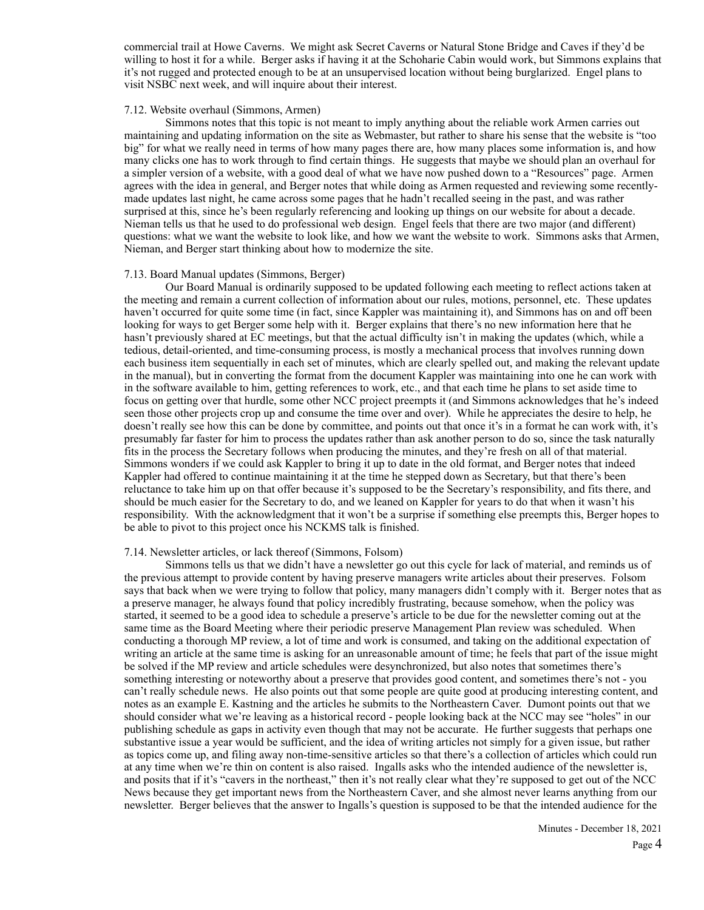commercial trail at Howe Caverns. We might ask Secret Caverns or Natural Stone Bridge and Caves if they'd be willing to host it for a while. Berger asks if having it at the Schoharie Cabin would work, but Simmons explains that it's not rugged and protected enough to be at an unsupervised location without being burglarized. Engel plans to visit NSBC next week, and will inquire about their interest.

#### 7.12. Website overhaul (Simmons, Armen)

 Simmons notes that this topic is not meant to imply anything about the reliable work Armen carries out maintaining and updating information on the site as Webmaster, but rather to share his sense that the website is "too big" for what we really need in terms of how many pages there are, how many places some information is, and how many clicks one has to work through to find certain things. He suggests that maybe we should plan an overhaul for a simpler version of a website, with a good deal of what we have now pushed down to a "Resources" page. Armen agrees with the idea in general, and Berger notes that while doing as Armen requested and reviewing some recentlymade updates last night, he came across some pages that he hadn't recalled seeing in the past, and was rather surprised at this, since he's been regularly referencing and looking up things on our website for about a decade. Nieman tells us that he used to do professional web design. Engel feels that there are two major (and different) questions: what we want the website to look like, and how we want the website to work. Simmons asks that Armen, Nieman, and Berger start thinking about how to modernize the site.

#### 7.13. Board Manual updates (Simmons, Berger)

 Our Board Manual is ordinarily supposed to be updated following each meeting to reflect actions taken at the meeting and remain a current collection of information about our rules, motions, personnel, etc. These updates haven't occurred for quite some time (in fact, since Kappler was maintaining it), and Simmons has on and off been looking for ways to get Berger some help with it. Berger explains that there's no new information here that he hasn't previously shared at EC meetings, but that the actual difficulty isn't in making the updates (which, while a tedious, detail-oriented, and time-consuming process, is mostly a mechanical process that involves running down each business item sequentially in each set of minutes, which are clearly spelled out, and making the relevant update in the manual), but in converting the format from the document Kappler was maintaining into one he can work with in the software available to him, getting references to work, etc., and that each time he plans to set aside time to focus on getting over that hurdle, some other NCC project preempts it (and Simmons acknowledges that he's indeed seen those other projects crop up and consume the time over and over). While he appreciates the desire to help, he doesn't really see how this can be done by committee, and points out that once it's in a format he can work with, it's presumably far faster for him to process the updates rather than ask another person to do so, since the task naturally fits in the process the Secretary follows when producing the minutes, and they're fresh on all of that material. Simmons wonders if we could ask Kappler to bring it up to date in the old format, and Berger notes that indeed Kappler had offered to continue maintaining it at the time he stepped down as Secretary, but that there's been reluctance to take him up on that offer because it's supposed to be the Secretary's responsibility, and fits there, and should be much easier for the Secretary to do, and we leaned on Kappler for years to do that when it wasn't his responsibility. With the acknowledgment that it won't be a surprise if something else preempts this, Berger hopes to be able to pivot to this project once his NCKMS talk is finished.

### 7.14. Newsletter articles, or lack thereof (Simmons, Folsom)

 Simmons tells us that we didn't have a newsletter go out this cycle for lack of material, and reminds us of the previous attempt to provide content by having preserve managers write articles about their preserves. Folsom says that back when we were trying to follow that policy, many managers didn't comply with it. Berger notes that as a preserve manager, he always found that policy incredibly frustrating, because somehow, when the policy was started, it seemed to be a good idea to schedule a preserve's article to be due for the newsletter coming out at the same time as the Board Meeting where their periodic preserve Management Plan review was scheduled. When conducting a thorough MP review, a lot of time and work is consumed, and taking on the additional expectation of writing an article at the same time is asking for an unreasonable amount of time; he feels that part of the issue might be solved if the MP review and article schedules were desynchronized, but also notes that sometimes there's something interesting or noteworthy about a preserve that provides good content, and sometimes there's not - you can't really schedule news. He also points out that some people are quite good at producing interesting content, and notes as an example E. Kastning and the articles he submits to the Northeastern Caver. Dumont points out that we should consider what we're leaving as a historical record - people looking back at the NCC may see "holes" in our publishing schedule as gaps in activity even though that may not be accurate. He further suggests that perhaps one substantive issue a year would be sufficient, and the idea of writing articles not simply for a given issue, but rather as topics come up, and filing away non-time-sensitive articles so that there's a collection of articles which could run at any time when we're thin on content is also raised. Ingalls asks who the intended audience of the newsletter is, and posits that if it's "cavers in the northeast," then it's not really clear what they're supposed to get out of the NCC News because they get important news from the Northeastern Caver, and she almost never learns anything from our newsletter. Berger believes that the answer to Ingalls's question is supposed to be that the intended audience for the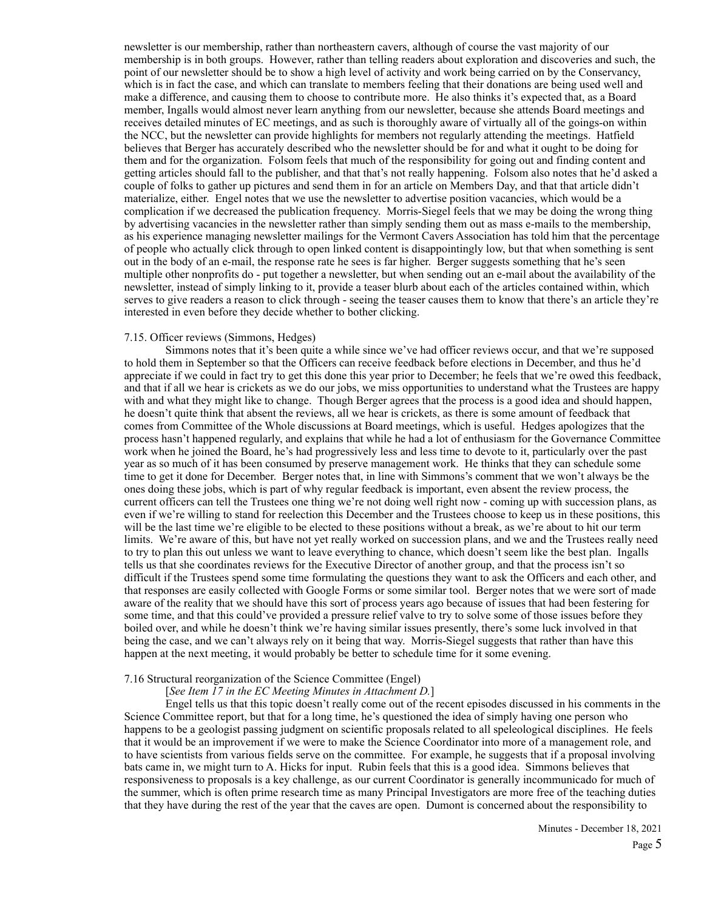newsletter is our membership, rather than northeastern cavers, although of course the vast majority of our membership is in both groups. However, rather than telling readers about exploration and discoveries and such, the point of our newsletter should be to show a high level of activity and work being carried on by the Conservancy, which is in fact the case, and which can translate to members feeling that their donations are being used well and make a difference, and causing them to choose to contribute more. He also thinks it's expected that, as a Board member, Ingalls would almost never learn anything from our newsletter, because she attends Board meetings and receives detailed minutes of EC meetings, and as such is thoroughly aware of virtually all of the goings-on within the NCC, but the newsletter can provide highlights for members not regularly attending the meetings. Hatfield believes that Berger has accurately described who the newsletter should be for and what it ought to be doing for them and for the organization. Folsom feels that much of the responsibility for going out and finding content and getting articles should fall to the publisher, and that that's not really happening. Folsom also notes that he'd asked a couple of folks to gather up pictures and send them in for an article on Members Day, and that that article didn't materialize, either. Engel notes that we use the newsletter to advertise position vacancies, which would be a complication if we decreased the publication frequency. Morris-Siegel feels that we may be doing the wrong thing by advertising vacancies in the newsletter rather than simply sending them out as mass e-mails to the membership, as his experience managing newsletter mailings for the Vermont Cavers Association has told him that the percentage of people who actually click through to open linked content is disappointingly low, but that when something is sent out in the body of an e-mail, the response rate he sees is far higher. Berger suggests something that he's seen multiple other nonprofits do - put together a newsletter, but when sending out an e-mail about the availability of the newsletter, instead of simply linking to it, provide a teaser blurb about each of the articles contained within, which serves to give readers a reason to click through - seeing the teaser causes them to know that there's an article they're interested in even before they decide whether to bother clicking.

### 7.15. Officer reviews (Simmons, Hedges)

 Simmons notes that it's been quite a while since we've had officer reviews occur, and that we're supposed to hold them in September so that the Officers can receive feedback before elections in December, and thus he'd appreciate if we could in fact try to get this done this year prior to December; he feels that we're owed this feedback, and that if all we hear is crickets as we do our jobs, we miss opportunities to understand what the Trustees are happy with and what they might like to change. Though Berger agrees that the process is a good idea and should happen, he doesn't quite think that absent the reviews, all we hear is crickets, as there is some amount of feedback that comes from Committee of the Whole discussions at Board meetings, which is useful. Hedges apologizes that the process hasn't happened regularly, and explains that while he had a lot of enthusiasm for the Governance Committee work when he joined the Board, he's had progressively less and less time to devote to it, particularly over the past year as so much of it has been consumed by preserve management work. He thinks that they can schedule some time to get it done for December. Berger notes that, in line with Simmons's comment that we won't always be the ones doing these jobs, which is part of why regular feedback is important, even absent the review process, the current officers can tell the Trustees one thing we're not doing well right now - coming up with succession plans, as even if we're willing to stand for reelection this December and the Trustees choose to keep us in these positions, this will be the last time we're eligible to be elected to these positions without a break, as we're about to hit our term limits. We're aware of this, but have not yet really worked on succession plans, and we and the Trustees really need to try to plan this out unless we want to leave everything to chance, which doesn't seem like the best plan. Ingalls tells us that she coordinates reviews for the Executive Director of another group, and that the process isn't so difficult if the Trustees spend some time formulating the questions they want to ask the Officers and each other, and that responses are easily collected with Google Forms or some similar tool. Berger notes that we were sort of made aware of the reality that we should have this sort of process years ago because of issues that had been festering for some time, and that this could've provided a pressure relief valve to try to solve some of those issues before they boiled over, and while he doesn't think we're having similar issues presently, there's some luck involved in that being the case, and we can't always rely on it being that way. Morris-Siegel suggests that rather than have this happen at the next meeting, it would probably be better to schedule time for it some evening.

### 7.16 Structural reorganization of the Science Committee (Engel)

#### [*See Item 17 in the EC Meeting Minutes in Attachment D.*]

 Engel tells us that this topic doesn't really come out of the recent episodes discussed in his comments in the Science Committee report, but that for a long time, he's questioned the idea of simply having one person who happens to be a geologist passing judgment on scientific proposals related to all speleological disciplines. He feels that it would be an improvement if we were to make the Science Coordinator into more of a management role, and to have scientists from various fields serve on the committee. For example, he suggests that if a proposal involving bats came in, we might turn to A. Hicks for input. Rubin feels that this is a good idea. Simmons believes that responsiveness to proposals is a key challenge, as our current Coordinator is generally incommunicado for much of the summer, which is often prime research time as many Principal Investigators are more free of the teaching duties that they have during the rest of the year that the caves are open. Dumont is concerned about the responsibility to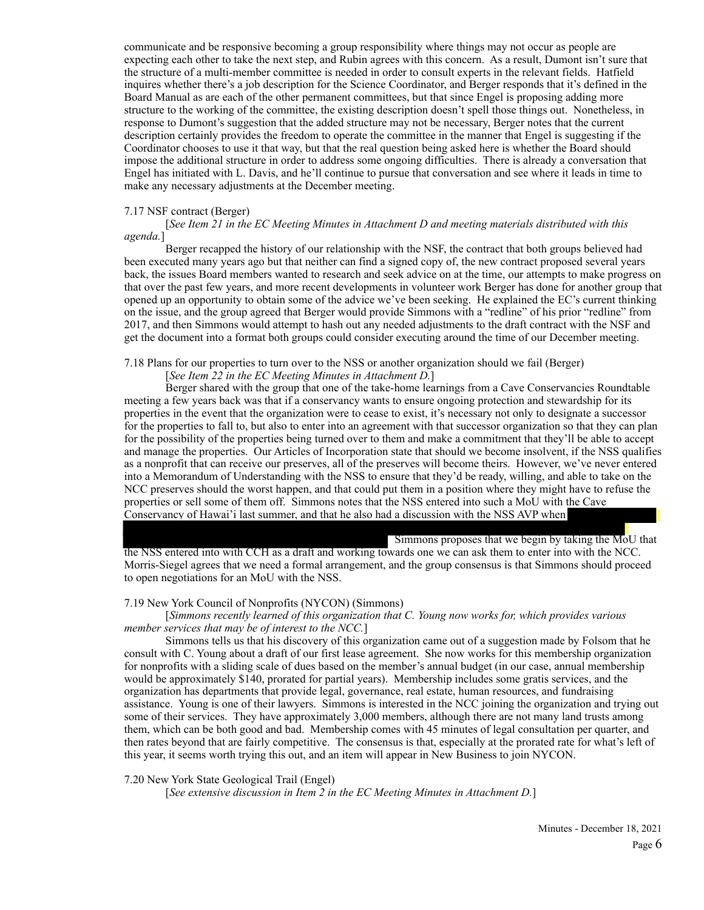communicate and be responsive becoming a group responsibility where things may not occur as people are expecting each other to take the next step, and Rubin agrees with this concern. As a result, Dumont isn't sure that the structure of a multi-member committee is needed in order to consult experts in the relevant fields. Hatfield inquires whether there's a job description for the Science Coordinator, and Berger responds that it's defined in the Board Manual as are each of the other permanent committees, but that since Engel is proposing adding more structure to the working of the committee, the existing description doesn't spell those things out. Nonetheless, in response to Dumont's suggestion that the added structure may not be necessary, Berger notes that the current description certainly provides the freedom to operate the committee in the manner that Engel is suggesting if the Coordinator chooses to use it that way, but that the real question being asked here is whether the Board should impose the additional structure in order to address some ongoing difficulties. There is already a conversation that Engel has initiated with L. Davis, and he'll continue to pursue that conversation and see where it leads in time to make any necessary adjustments at the December meeting.

### 7.17 NSF contract (Berger)

 [*See Item 21 in the EC Meeting Minutes in Attachment D and meeting materials distributed with this agenda.*]

 Berger recapped the history of our relationship with the NSF, the contract that both groups believed had been executed many years ago but that neither can find a signed copy of, the new contract proposed several years back, the issues Board members wanted to research and seek advice on at the time, our attempts to make progress on that over the past few years, and more recent developments in volunteer work Berger has done for another group that opened up an opportunity to obtain some of the advice we've been seeking. He explained the EC's current thinking on the issue, and the group agreed that Berger would provide Simmons with a "redline" of his prior "redline" from 2017, and then Simmons would attempt to hash out any needed adjustments to the draft contract with the NSF and get the document into a format both groups could consider executing around the time of our December meeting.

### 7.18 Plans for our properties to turn over to the NSS or another organization should we fail (Berger)

[*See Item 22 in the EC Meeting Minutes in Attachment D.*]

 Berger shared with the group that one of the take-home learnings from a Cave Conservancies Roundtable meeting a few years back was that if a conservancy wants to ensure ongoing protection and stewardship for its properties in the event that the organization were to cease to exist, it's necessary not only to designate a successor for the properties to fall to, but also to enter into an agreement with that successor organization so that they can plan for the possibility of the properties being turned over to them and make a commitment that they'll be able to accept and manage the properties. Our Articles of Incorporation state that should we become insolvent, if the NSS qualifies as a nonprofit that can receive our preserves, all of the preserves will become theirs. However, we've never entered into a Memorandum of Understanding with the NSS to ensure that they'd be ready, willing, and able to take on the NCC preserves should the worst happen, and that could put them in a position where they might have to refuse the properties or sell some of them off. Simmons notes that the NSS entered into such a MoU with the Cave Conservancy of Hawai'i last summer, and that he also had a discussion with the NSS AVP when

Simmons proposes that we begin by taking the MoU that

the NSS entered into with CCH as a draft and working towards one we can ask them to enter into with the NCC. Morris-Siegel agrees that we need a formal arrangement, and the group consensus is that Simmons should proceed to open negotiations for an MoU with the NSS.

### 7.19 New York Council of Nonprofits (NYCON) (Simmons)

 [*Simmons recently learned of this organization that C. Young now works for, which provides various member services that may be of interest to the NCC.*]

 Simmons tells us that his discovery of this organization came out of a suggestion made by Folsom that he consult with C. Young about a draft of our first lease agreement. She now works for this membership organization for nonprofits with a sliding scale of dues based on the member's annual budget (in our case, annual membership would be approximately \$140, prorated for partial years). Membership includes some gratis services, and the organization has departments that provide legal, governance, real estate, human resources, and fundraising assistance. Young is one of their lawyers. Simmons is interested in the NCC joining the organization and trying out some of their services. They have approximately 3,000 members, although there are not many land trusts among them, which can be both good and bad. Membership comes with 45 minutes of legal consultation per quarter, and then rates beyond that are fairly competitive. The consensus is that, especially at the prorated rate for what's left of this year, it seems worth trying this out, and an item will appear in New Business to join NYCON.

7.20 New York State Geological Trail (Engel)

[*See extensive discussion in Item 2 in the EC Meeting Minutes in Attachment D.*]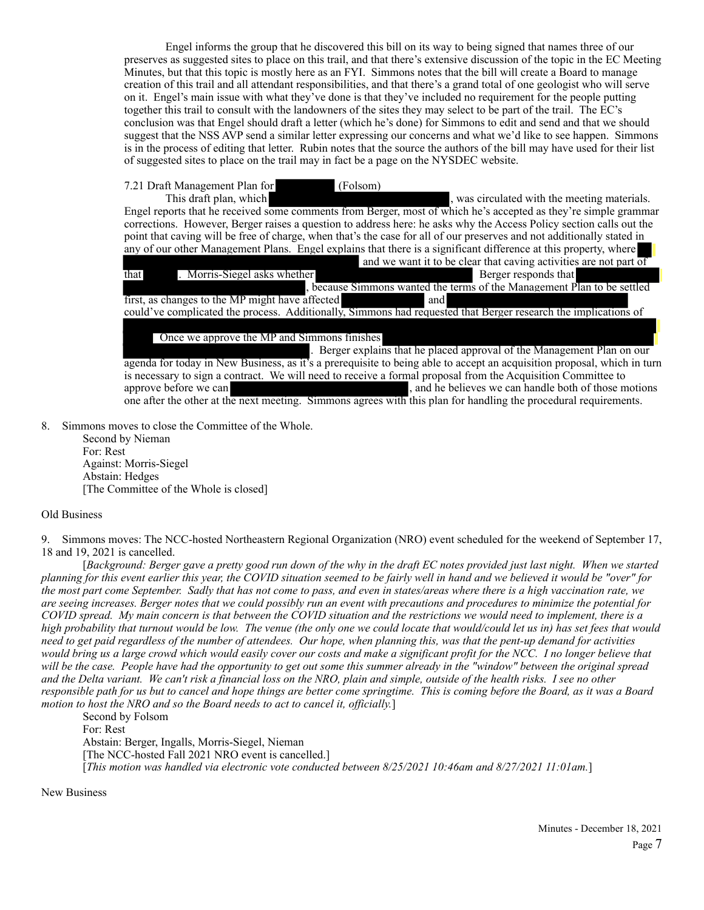Engel informs the group that he discovered this bill on its way to being signed that names three of our preserves as suggested sites to place on this trail, and that there's extensive discussion of the topic in the EC Meeting Minutes, but that this topic is mostly here as an FYI. Simmons notes that the bill will create a Board to manage creation of this trail and all attendant responsibilities, and that there's a grand total of one geologist who will serve on it. Engel's main issue with what they've done is that they've included no requirement for the people putting together this trail to consult with the landowners of the sites they may select to be part of the trail. The EC's conclusion was that Engel should draft a letter (which he's done) for Simmons to edit and send and that we should suggest that the NSS AVP send a similar letter expressing our concerns and what we'd like to see happen. Simmons is in the process of editing that letter. Rubin notes that the source the authors of the bill may have used for their list of suggested sites to place on the trail may in fact be a page on the NYSDEC website.

| (Folsom)<br>7.21 Draft Management Plan for      |                                                                                                                         |
|-------------------------------------------------|-------------------------------------------------------------------------------------------------------------------------|
| This draft plan, which                          | , was circulated with the meeting materials.                                                                            |
|                                                 | Engel reports that he received some comments from Berger, most of which he's accepted as they're simple grammar         |
|                                                 | corrections. However, Berger raises a question to address here: he asks why the Access Policy section calls out the     |
|                                                 | point that caving will be free of charge, when that's the case for all of our preserves and not additionally stated in  |
|                                                 | any of our other Management Plans. Engel explains that there is a significant difference at this property, where        |
|                                                 | and we want it to be clear that caving activities are not part of                                                       |
| . Morris-Siegel asks whether<br>that            | Berger responds that                                                                                                    |
|                                                 | because Simmons wanted the terms of the Management Plan to be settled                                                   |
| first, as changes to the MP might have affected | and                                                                                                                     |
|                                                 | could've complicated the process. Additionally, Simmons had requested that Berger research the implications of          |
|                                                 |                                                                                                                         |
| Once we approve the MP and Simmons finishes     |                                                                                                                         |
|                                                 | Berger explains that he placed approval of the Management Plan on our                                                   |
|                                                 | agenda for today in New Business, as it's a prerequisite to being able to accept an acquisition proposal, which in turn |
|                                                 | is necessary to sign a contract. We will need to receive a formal proposal from the Acquisition Committee to            |
| approve before we can                           | , and he believes we can handle both of those motions                                                                   |

one after the other at the next meeting. Simmons agrees with this plan for handling the procedural requirements.

8. Simmons moves to close the Committee of the Whole.

 Second by Nieman For: Rest Against: Morris-Siegel Abstain: Hedges [The Committee of the Whole is closed]

### Old Business

9. Simmons moves: The NCC-hosted Northeastern Regional Organization (NRO) event scheduled for the weekend of September 17, 18 and 19, 2021 is cancelled.

 [*Background: Berger gave a pretty good run down of the why in the draft EC notes provided just last night. When we started planning for this event earlier this year, the COVID situation seemed to be fairly well in hand and we believed it would be "over" for the most part come September. Sadly that has not come to pass, and even in states/areas where there is a high vaccination rate, we are seeing increases. Berger notes that we could possibly run an event with precautions and procedures to minimize the potential for COVID spread. My main concern is that between the COVID situation and the restrictions we would need to implement, there is a high probability that turnout would be low. The venue (the only one we could locate that would/could let us in) has set fees that would need to get paid regardless of the number of attendees. Our hope, when planning this, was that the pent-up demand for activities would bring us a large crowd which would easily cover our costs and make a significant profit for the NCC. I no longer believe that will be the case. People have had the opportunity to get out some this summer already in the "window" between the original spread and the Delta variant. We can't risk a financial loss on the NRO, plain and simple, outside of the health risks. I see no other responsible path for us but to cancel and hope things are better come springtime. This is coming before the Board, as it was a Board motion to host the NRO and so the Board needs to act to cancel it, officially.*]

 Second by Folsom For: Rest Abstain: Berger, Ingalls, Morris-Siegel, Nieman [The NCC-hosted Fall 2021 NRO event is cancelled.] [*This motion was handled via electronic vote conducted between 8/25/2021 10:46am and 8/27/2021 11:01am.*]

New Business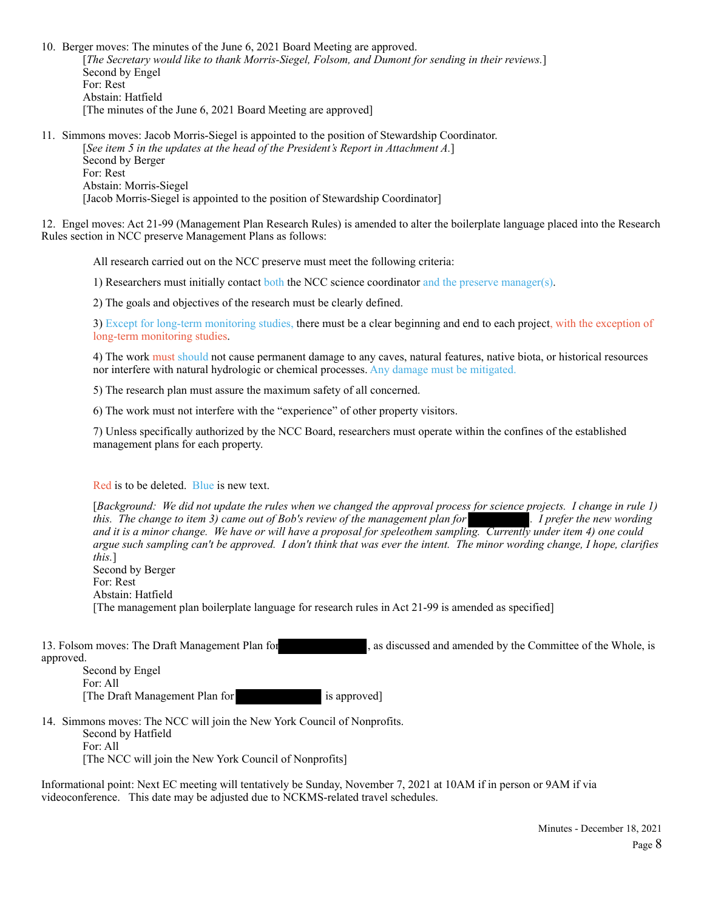10. Berger moves: The minutes of the June 6, 2021 Board Meeting are approved. [*The Secretary would like to thank Morris-Siegel, Folsom, and Dumont for sending in their reviews.*] Second by Engel For: Rest Abstain: Hatfield [The minutes of the June 6, 2021 Board Meeting are approved]

11. Simmons moves: Jacob Morris-Siegel is appointed to the position of Stewardship Coordinator. [*See item 5 in the updates at the head of the President's Report in Attachment A.*] Second by Berger For: Rest Abstain: Morris-Siegel [Jacob Morris-Siegel is appointed to the position of Stewardship Coordinator]

12. Engel moves: Act 21-99 (Management Plan Research Rules) is amended to alter the boilerplate language placed into the Research Rules section in NCC preserve Management Plans as follows:

All research carried out on the NCC preserve must meet the following criteria:

1) Researchers must initially contact both the NCC science coordinator and the preserve manager(s).

2) The goals and objectives of the research must be clearly defined.

3) Except for long-term monitoring studies, there must be a clear beginning and end to each project, with the exception of long-term monitoring studies.

4) The work must should not cause permanent damage to any caves, natural features, native biota, or historical resources nor interfere with natural hydrologic or chemical processes. Any damage must be mitigated.

5) The research plan must assure the maximum safety of all concerned.

6) The work must not interfere with the "experience" of other property visitors.

7) Unless specifically authorized by the NCC Board, researchers must operate within the confines of the established management plans for each property.

Red is to be deleted. Blue is new text.

[*Background: We did not update the rules when we changed the approval process for science projects. I change in rule 1) this. The change to item 3) came out of Bob's review of the management plan for . I prefer the new wording and it is a minor change. We have or will have a proposal for speleothem sampling. Currently under item 4) one could argue such sampling can't be approved. I don't think that was ever the intent. The minor wording change, I hope, clarifies this.*]

Second by Berger For: Rest Abstain: Hatfield [The management plan boilerplate language for research rules in Act 21-99 is amended as specified]

13. Folsom moves: The Draft Management Plan for , as discussed and amended by the Committee of the Whole, is approved.

 Second by Engel For: All [The Draft Management Plan for is approved]

14. Simmons moves: The NCC will join the New York Council of Nonprofits.

Second by Hatfield

For: All

[The NCC will join the New York Council of Nonprofits]

Informational point: Next EC meeting will tentatively be Sunday, November 7, 2021 at 10AM if in person or 9AM if via videoconference. This date may be adjusted due to NCKMS-related travel schedules.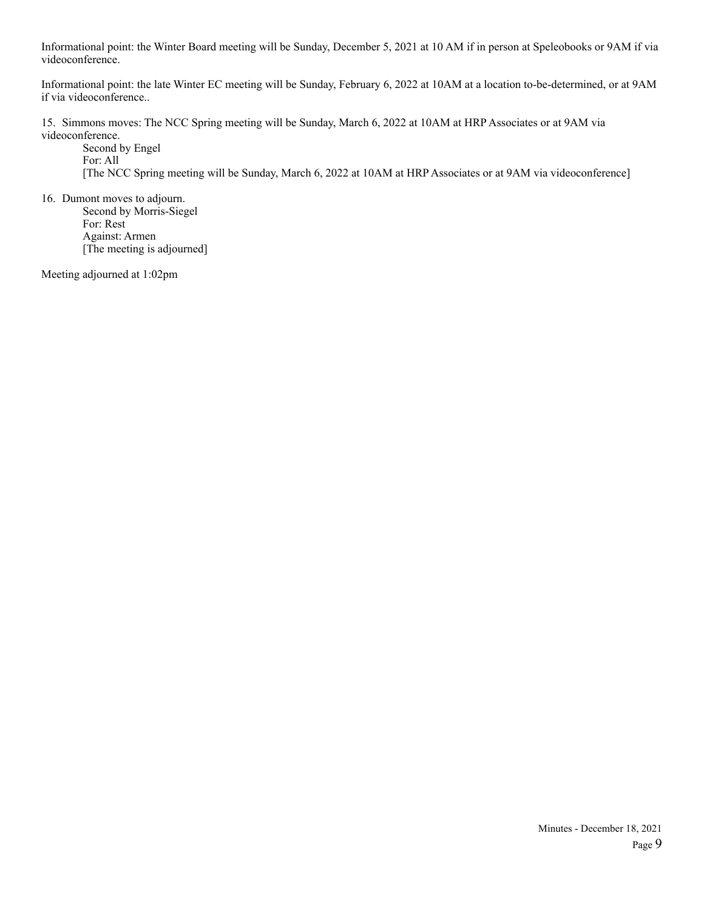Informational point: the Winter Board meeting will be Sunday, December 5, 2021 at 10 AM if in person at Speleobooks or 9AM if via videoconference.

Informational point: the late Winter EC meeting will be Sunday, February 6, 2022 at 10AM at a location to-be-determined, or at 9AM if via videoconference..

15. Simmons moves: The NCC Spring meeting will be Sunday, March 6, 2022 at 10AM at HRP Associates or at 9AM via videoconference.

 Second by Engel For: All [The NCC Spring meeting will be Sunday, March 6, 2022 at 10AM at HRP Associates or at 9AM via videoconference]

16. Dumont moves to adjourn. Second by Morris-Siegel For: Rest Against: Armen [The meeting is adjourned]

Meeting adjourned at 1:02pm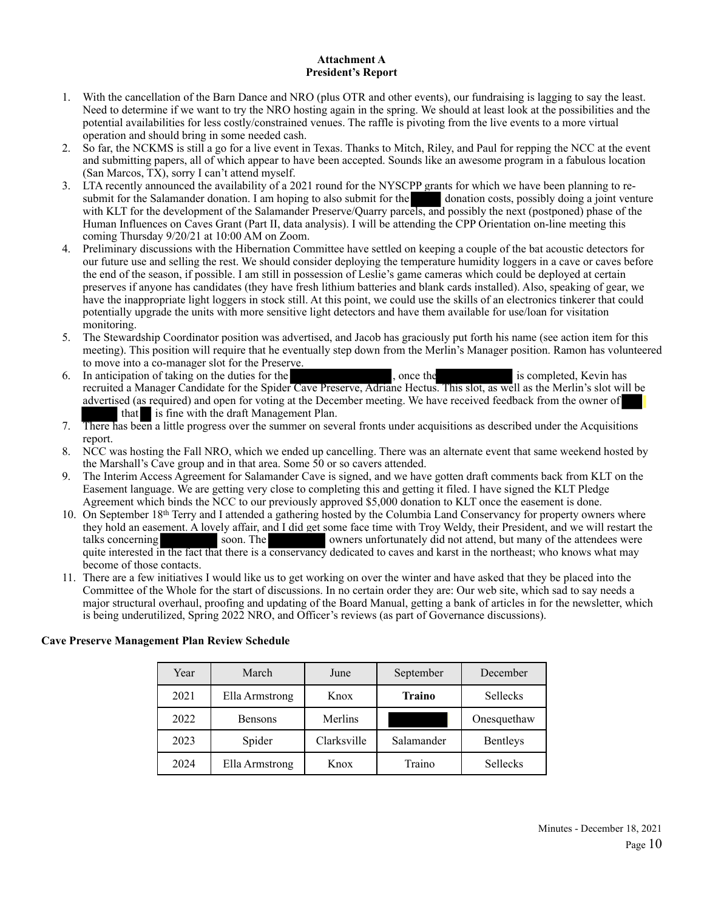## **Attachment A President's Report**

- 1. With the cancellation of the Barn Dance and NRO (plus OTR and other events), our fundraising is lagging to say the least. Need to determine if we want to try the NRO hosting again in the spring. We should at least look at the possibilities and the potential availabilities for less costly/constrained venues. The raffle is pivoting from the live events to a more virtual operation and should bring in some needed cash.
- 2. So far, the NCKMS is still a go for a live event in Texas. Thanks to Mitch, Riley, and Paul for repping the NCC at the event and submitting papers, all of which appear to have been accepted. Sounds like an awesome program in a fabulous location (San Marcos, TX), sorry I can't attend myself.
- 3. LTA recently announced the availability of a 2021 round for the NYSCPP grants for which we have been planning to resubmit for the Salamander donation. I am hoping to also submit for the donation costs, possibly doing a joint venture with KLT for the development of the Salamander Preserve/Quarry parcels, and possibly the next (postponed) phase of the Human Influences on Caves Grant (Part II, data analysis). I will be attending the CPP Orientation on-line meeting this coming Thursday 9/20/21 at 10:00 AM on Zoom.
- 4. Preliminary discussions with the Hibernation Committee have settled on keeping a couple of the bat acoustic detectors for our future use and selling the rest. We should consider deploying the temperature humidity loggers in a cave or caves before the end of the season, if possible. I am still in possession of Leslie's game cameras which could be deployed at certain preserves if anyone has candidates (they have fresh lithium batteries and blank cards installed). Also, speaking of gear, we have the inappropriate light loggers in stock still. At this point, we could use the skills of an electronics tinkerer that could potentially upgrade the units with more sensitive light detectors and have them available for use/loan for visitation monitoring.
- 5. The Stewardship Coordinator position was advertised, and Jacob has graciously put forth his name (see action item for this meeting). This position will require that he eventually step down from the Merlin's Manager position. Ramon has volunteered to move into a co-manager slot for the Preserve.
- 6. In anticipation of taking on the duties for the , once the is completed, Kevin has recruited a Manager Candidate for the Spider Cave Preserve, Adriane Hectus. This slot, as well as the Merlin's slot will be advertised (as required) and open for voting at the December meeting. We have received feedback from the owner of that is fine with the draft Management Plan.
- 7. There has been a little progress over the summer on several fronts under acquisitions as described under the Acquisitions report.
- 8. NCC was hosting the Fall NRO, which we ended up cancelling. There was an alternate event that same weekend hosted by the Marshall's Cave group and in that area. Some 50 or so cavers attended.
- 9. The Interim Access Agreement for Salamander Cave is signed, and we have gotten draft comments back from KLT on the Easement language. We are getting very close to completing this and getting it filed. I have signed the KLT Pledge Agreement which binds the NCC to our previously approved \$5,000 donation to KLT once the easement is done.
- 10. On September 18th Terry and I attended a gathering hosted by the Columbia Land Conservancy for property owners where they hold an easement. A lovely affair, and I did get some face time with Troy Weldy, their President, and we will restart the talks concerning soon. The owners unfortunately did not attend, but many of the attendees were quite interested in the fact that there is a conservancy dedicated to caves and karst in the northeast; who knows what may become of those contacts.
- 11. There are a few initiatives I would like us to get working on over the winter and have asked that they be placed into the Committee of the Whole for the start of discussions. In no certain order they are: Our web site, which sad to say needs a major structural overhaul, proofing and updating of the Board Manual, getting a bank of articles in for the newsletter, which is being underutilized, Spring 2022 NRO, and Officer's reviews (as part of Governance discussions).

# **Cave Preserve Management Plan Review Schedule**

| Year | March          | June        | September     | December        |
|------|----------------|-------------|---------------|-----------------|
| 2021 | Ella Armstrong | Knox        | <b>Traino</b> | Sellecks        |
| 2022 | <b>Bensons</b> | Merlins     |               | Onesquethaw     |
| 2023 | Spider         | Clarksville | Salamander    | <b>Bentleys</b> |
| 2024 | Ella Armstrong | Knox        | Traino        | Sellecks        |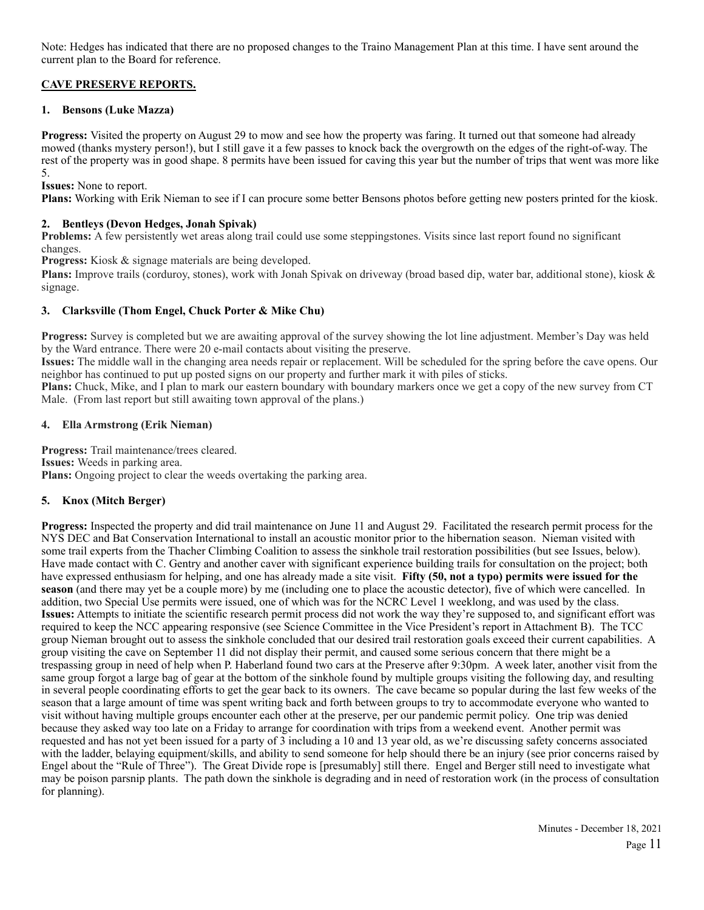Note: Hedges has indicated that there are no proposed changes to the Traino Management Plan at this time. I have sent around the current plan to the Board for reference.

# **CAVE PRESERVE REPORTS.**

# **1. Bensons (Luke Mazza)**

**Progress:** Visited the property on August 29 to mow and see how the property was faring. It turned out that someone had already mowed (thanks mystery person!), but I still gave it a few passes to knock back the overgrowth on the edges of the right-of-way. The rest of the property was in good shape. 8 permits have been issued for caving this year but the number of trips that went was more like 5.

**Issues:** None to report.

**Plans:** Working with Erik Nieman to see if I can procure some better Bensons photos before getting new posters printed for the kiosk.

# **2. Bentleys (Devon Hedges, Jonah Spivak)**

**Problems:** A few persistently wet areas along trail could use some steppingstones. Visits since last report found no significant changes.

**Progress:** Kiosk & signage materials are being developed.

**Plans:** Improve trails (corduroy, stones), work with Jonah Spivak on driveway (broad based dip, water bar, additional stone), kiosk & signage.

# **3. Clarksville (Thom Engel, Chuck Porter & Mike Chu)**

**Progress:** Survey is completed but we are awaiting approval of the survey showing the lot line adjustment. Member's Day was held by the Ward entrance. There were 20 e-mail contacts about visiting the preserve.

**Issues:** The middle wall in the changing area needs repair or replacement. Will be scheduled for the spring before the cave opens. Our neighbor has continued to put up posted signs on our property and further mark it with piles of sticks.

**Plans:** Chuck, Mike, and I plan to mark our eastern boundary with boundary markers once we get a copy of the new survey from CT Male. (From last report but still awaiting town approval of the plans.)

# **4. Ella Armstrong (Erik Nieman)**

**Progress:** Trail maintenance/trees cleared. **Issues:** Weeds in parking area. **Plans:** Ongoing project to clear the weeds overtaking the parking area.

# **5. Knox (Mitch Berger)**

**Progress:** Inspected the property and did trail maintenance on June 11 and August 29. Facilitated the research permit process for the NYS DEC and Bat Conservation International to install an acoustic monitor prior to the hibernation season. Nieman visited with some trail experts from the Thacher Climbing Coalition to assess the sinkhole trail restoration possibilities (but see Issues, below). Have made contact with C. Gentry and another caver with significant experience building trails for consultation on the project; both have expressed enthusiasm for helping, and one has already made a site visit. **Fifty (50, not a typo) permits were issued for the season** (and there may yet be a couple more) by me (including one to place the acoustic detector), five of which were cancelled. In addition, two Special Use permits were issued, one of which was for the NCRC Level 1 weeklong, and was used by the class. **Issues:** Attempts to initiate the scientific research permit process did not work the way they're supposed to, and significant effort was required to keep the NCC appearing responsive (see Science Committee in the Vice President's report in Attachment B). The TCC group Nieman brought out to assess the sinkhole concluded that our desired trail restoration goals exceed their current capabilities. A group visiting the cave on September 11 did not display their permit, and caused some serious concern that there might be a trespassing group in need of help when P. Haberland found two cars at the Preserve after 9:30pm. A week later, another visit from the same group forgot a large bag of gear at the bottom of the sinkhole found by multiple groups visiting the following day, and resulting in several people coordinating efforts to get the gear back to its owners. The cave became so popular during the last few weeks of the season that a large amount of time was spent writing back and forth between groups to try to accommodate everyone who wanted to visit without having multiple groups encounter each other at the preserve, per our pandemic permit policy. One trip was denied because they asked way too late on a Friday to arrange for coordination with trips from a weekend event. Another permit was requested and has not yet been issued for a party of 3 including a 10 and 13 year old, as we're discussing safety concerns associated with the ladder, belaying equipment/skills, and ability to send someone for help should there be an injury (see prior concerns raised by Engel about the "Rule of Three"). The Great Divide rope is [presumably] still there. Engel and Berger still need to investigate what may be poison parsnip plants. The path down the sinkhole is degrading and in need of restoration work (in the process of consultation for planning).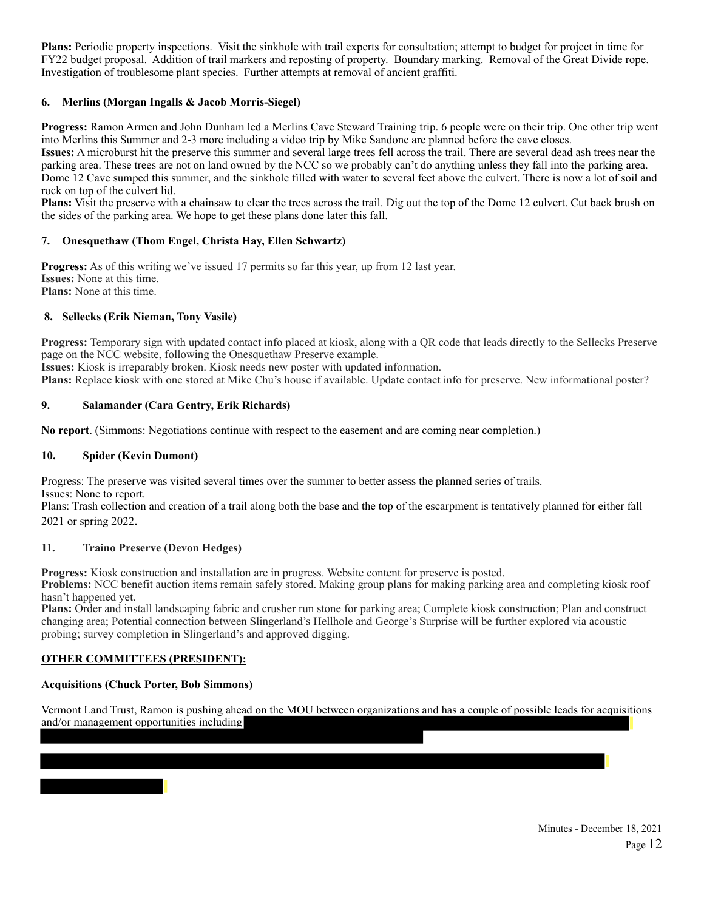**Plans:** Periodic property inspections. Visit the sinkhole with trail experts for consultation; attempt to budget for project in time for FY22 budget proposal. Addition of trail markers and reposting of property. Boundary marking. Removal of the Great Divide rope. Investigation of troublesome plant species. Further attempts at removal of ancient graffiti.

# **6. Merlins (Morgan Ingalls & Jacob Morris-Siegel)**

**Progress:** Ramon Armen and John Dunham led a Merlins Cave Steward Training trip. 6 people were on their trip. One other trip went into Merlins this Summer and 2-3 more including a video trip by Mike Sandone are planned before the cave closes.

**Issues:** A microburst hit the preserve this summer and several large trees fell across the trail. There are several dead ash trees near the parking area. These trees are not on land owned by the NCC so we probably can't do anything unless they fall into the parking area. Dome 12 Cave sumped this summer, and the sinkhole filled with water to several feet above the culvert. There is now a lot of soil and rock on top of the culvert lid.

**Plans:** Visit the preserve with a chainsaw to clear the trees across the trail. Dig out the top of the Dome 12 culvert. Cut back brush on the sides of the parking area. We hope to get these plans done later this fall.

# **7. Onesquethaw (Thom Engel, Christa Hay, Ellen Schwartz)**

**Progress:** As of this writing we've issued 17 permits so far this year, up from 12 last year. **Issues:** None at this time. **Plans:** None at this time.

## **8. Sellecks (Erik Nieman, Tony Vasile)**

**Progress:** Temporary sign with updated contact info placed at kiosk, along with a QR code that leads directly to the Sellecks Preserve page on the NCC website, following the Onesquethaw Preserve example.

**Issues:** Kiosk is irreparably broken. Kiosk needs new poster with updated information.

**Plans:** Replace kiosk with one stored at Mike Chu's house if available. Update contact info for preserve. New informational poster?

# **9. Salamander (Cara Gentry, Erik Richards)**

**No report**. (Simmons: Negotiations continue with respect to the easement and are coming near completion.)

## **10. Spider (Kevin Dumont)**

Progress: The preserve was visited several times over the summer to better assess the planned series of trails. Issues: None to report.

Plans: Trash collection and creation of a trail along both the base and the top of the escarpment is tentatively planned for either fall 2021 or spring 2022.

## **11. Traino Preserve (Devon Hedges)**

**Progress:** Kiosk construction and installation are in progress. Website content for preserve is posted.

**Problems:** NCC benefit auction items remain safely stored. Making group plans for making parking area and completing kiosk roof hasn't happened yet.

**Plans:** Order and install landscaping fabric and crusher run stone for parking area; Complete kiosk construction; Plan and construct changing area; Potential connection between Slingerland's Hellhole and George's Surprise will be further explored via acoustic probing; survey completion in Slingerland's and approved digging.

## **OTHER COMMITTEES (PRESIDENT):**

## **Acquisitions (Chuck Porter, Bob Simmons)**

Vermont Land Trust, Ramon is pushing ahead on the MOU between organizations and has a couple of possible leads for acquisitions and/or management opportunities including

> Minutes - December 18, 2021 Page 12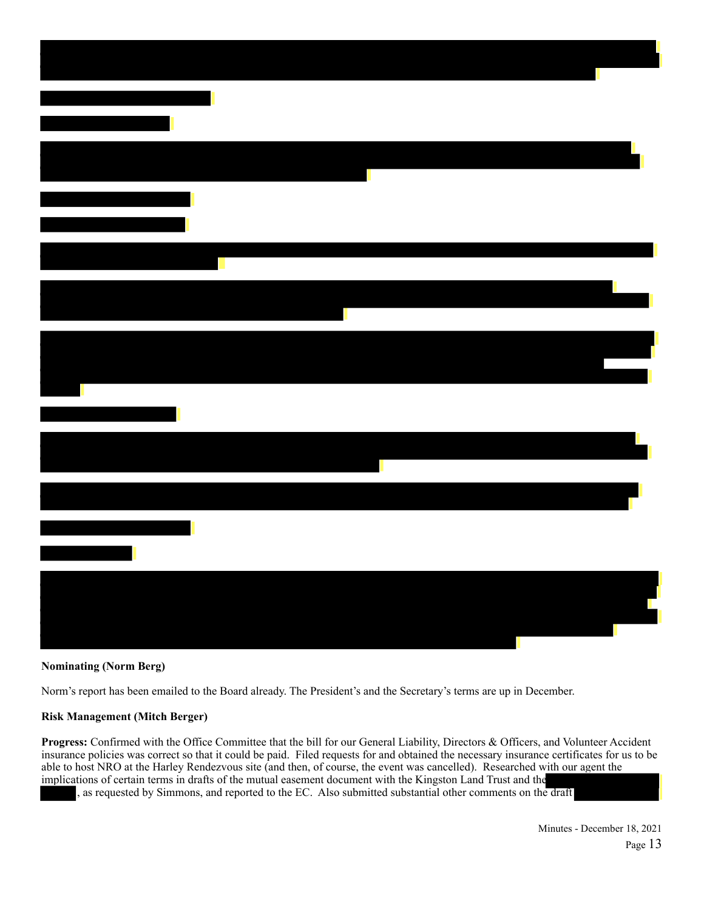## **Nominating (Norm Berg)**

Norm's report has been emailed to the Board already. The President's and the Secretary's terms are up in December.

## **Risk Management (Mitch Berger)**

**Progress:** Confirmed with the Office Committee that the bill for our General Liability, Directors & Officers, and Volunteer Accident insurance policies was correct so that it could be paid. Filed requests for and obtained the necessary insurance certificates for us to be able to host NRO at the Harley Rendezvous site (and then, of course, the event was cancelled). Researched with our agent the implications of certain terms in drafts of the mutual easement document with the Kingston Land Trust and the

, as requested by Simmons, and reported to the EC. Also submitted substantial other comments on the draft

Minutes - December 18, 2021 Page 13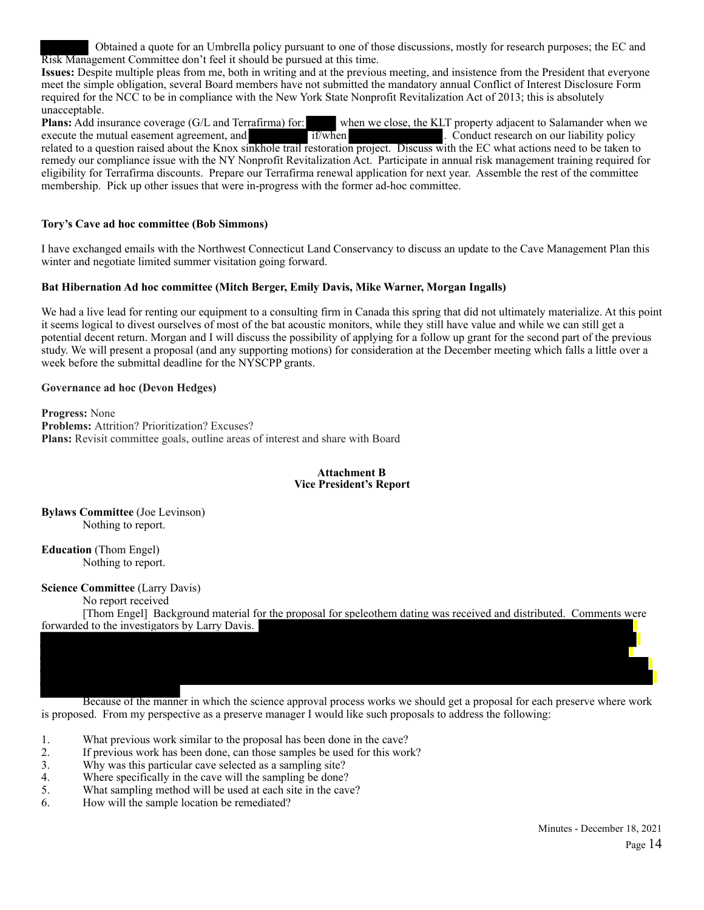Obtained a quote for an Umbrella policy pursuant to one of those discussions, mostly for research purposes; the EC and Risk Management Committee don't feel it should be pursued at this time.

**Issues:** Despite multiple pleas from me, both in writing and at the previous meeting, and insistence from the President that everyone meet the simple obligation, several Board members have not submitted the mandatory annual Conflict of Interest Disclosure Form required for the NCC to be in compliance with the New York State Nonprofit Revitalization Act of 2013; this is absolutely unacceptable.

**Plans:** Add insurance coverage (G/L and Terrafirma) for: when we close, the KLT property adjacent to Salamander when we execute the mutual easement agreement, and if/when . Conduct research on our liability policy related to a question raised about the Knox sinkhole trail restoration project. Discuss with the EC what actions need to be taken to remedy our compliance issue with the NY Nonprofit Revitalization Act. Participate in annual risk management training required for eligibility for Terrafirma discounts. Prepare our Terrafirma renewal application for next year. Assemble the rest of the committee membership. Pick up other issues that were in-progress with the former ad-hoc committee.

## **Tory's Cave ad hoc committee (Bob Simmons)**

I have exchanged emails with the Northwest Connecticut Land Conservancy to discuss an update to the Cave Management Plan this winter and negotiate limited summer visitation going forward.

## **Bat Hibernation Ad hoc committee (Mitch Berger, Emily Davis, Mike Warner, Morgan Ingalls)**

We had a live lead for renting our equipment to a consulting firm in Canada this spring that did not ultimately materialize. At this point it seems logical to divest ourselves of most of the bat acoustic monitors, while they still have value and while we can still get a potential decent return. Morgan and I will discuss the possibility of applying for a follow up grant for the second part of the previous study. We will present a proposal (and any supporting motions) for consideration at the December meeting which falls a little over a week before the submittal deadline for the NYSCPP grants.

## **Governance ad hoc (Devon Hedges)**

**Progress:** None **Problems:** Attrition? Prioritization? Excuses? **Plans:** Revisit committee goals, outline areas of interest and share with Board

## **Attachment B Vice President's Report**

**Bylaws Committee** (Joe Levinson) Nothing to report.

**Education** (Thom Engel) Nothing to report.

# **Science Committee** (Larry Davis)

No report received

 [Thom Engel] Background material for the proposal for speleothem dating was received and distributed. Comments were forwarded to the investigators by Larry Davis.

 Because of the manner in which the science approval process works we should get a proposal for each preserve where work is proposed. From my perspective as a preserve manager I would like such proposals to address the following:

- 1. What previous work similar to the proposal has been done in the cave?
- 2. If previous work has been done, can those samples be used for this work?
- 3. Why was this particular cave selected as a sampling site?
- 
- 4. Where specifically in the cave will the sampling be done?<br>5. What sampling method will be used at each site in the cav What sampling method will be used at each site in the cave?
- 6. How will the sample location be remediated?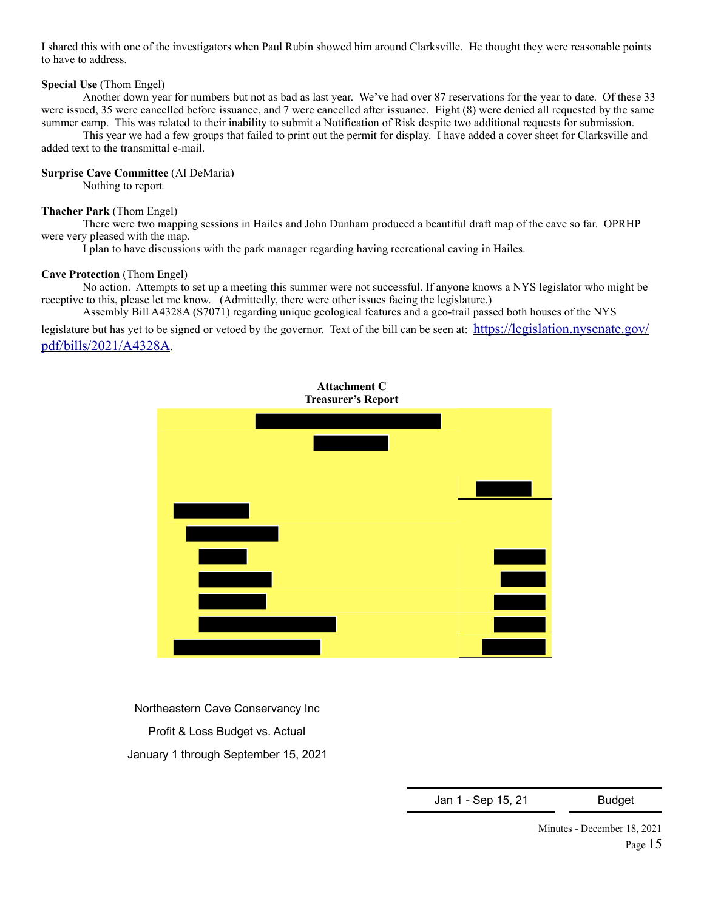I shared this with one of the investigators when Paul Rubin showed him around Clarksville. He thought they were reasonable points to have to address.

### **Special Use** (Thom Engel)

 Another down year for numbers but not as bad as last year. We've had over 87 reservations for the year to date. Of these 33 were issued, 35 were cancelled before issuance, and 7 were cancelled after issuance. Eight (8) were denied all requested by the same summer camp. This was related to their inability to submit a Notification of Risk despite two additional requests for submission.

 This year we had a few groups that failed to print out the permit for display. I have added a cover sheet for Clarksville and added text to the transmittal e-mail.

## **Surprise Cave Committee** (Al DeMaria)

Nothing to report

## **Thacher Park** (Thom Engel)

 There were two mapping sessions in Hailes and John Dunham produced a beautiful draft map of the cave so far. OPRHP were very pleased with the map.

I plan to have discussions with the park manager regarding having recreational caving in Hailes.

## **Cave Protection** (Thom Engel)

 No action. Attempts to set up a meeting this summer were not successful. If anyone knows a NYS legislator who might be receptive to this, please let me know. (Admittedly, there were other issues facing the legislature.)

Assembly Bill A4328A (S7071) regarding unique geological features and a geo-trail passed both houses of the NYS

legislature but has yet to be signed or vetoed by the governor. Text of the bill can be seen at: [https://legislation.nysenate.gov/](https://legislation.nysenate.gov/pdf/bills/2021/A4328A) [pdf/bills/2021/A4328A](https://legislation.nysenate.gov/pdf/bills/2021/A4328A).



Northeastern Cave Conservancy Inc Profit & Loss Budget vs. Actual January 1 through September 15, 2021

Jan 1 - Sep 15, 21 Budget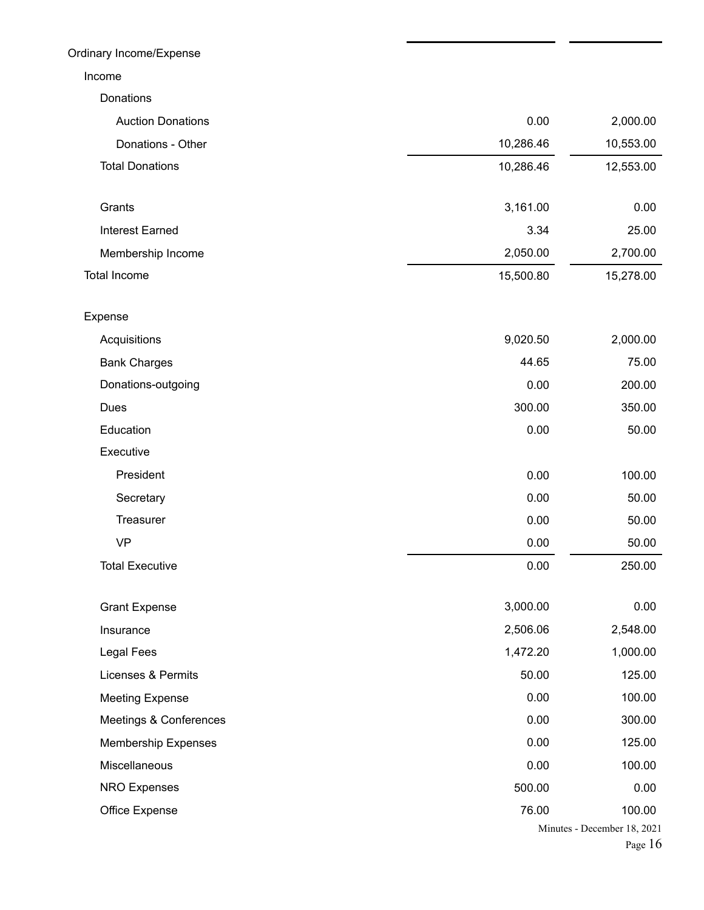| Ordinary Income/Expense    |           |                                       |
|----------------------------|-----------|---------------------------------------|
| Income                     |           |                                       |
| Donations                  |           |                                       |
| <b>Auction Donations</b>   | 0.00      | 2,000.00                              |
| Donations - Other          | 10,286.46 | 10,553.00                             |
| <b>Total Donations</b>     | 10,286.46 | 12,553.00                             |
| Grants                     | 3,161.00  | 0.00                                  |
| <b>Interest Earned</b>     | 3.34      | 25.00                                 |
| Membership Income          | 2,050.00  | 2,700.00                              |
| <b>Total Income</b>        | 15,500.80 | 15,278.00                             |
| Expense                    |           |                                       |
| Acquisitions               | 9,020.50  | 2,000.00                              |
| <b>Bank Charges</b>        | 44.65     | 75.00                                 |
| Donations-outgoing         | 0.00      | 200.00                                |
| Dues                       | 300.00    | 350.00                                |
| Education                  | 0.00      | 50.00                                 |
| Executive                  |           |                                       |
| President                  | 0.00      | 100.00                                |
| Secretary                  | 0.00      | 50.00                                 |
| Treasurer                  | 0.00      | 50.00                                 |
| <b>VP</b>                  | 0.00      | 50.00                                 |
| <b>Total Executive</b>     | 0.00      | 250.00                                |
| <b>Grant Expense</b>       | 3,000.00  | 0.00                                  |
| Insurance                  | 2,506.06  | 2,548.00                              |
| <b>Legal Fees</b>          | 1,472.20  | 1,000.00                              |
| Licenses & Permits         | 50.00     | 125.00                                |
| <b>Meeting Expense</b>     | 0.00      | 100.00                                |
| Meetings & Conferences     | 0.00      | 300.00                                |
| <b>Membership Expenses</b> | 0.00      | 125.00                                |
| Miscellaneous              | 0.00      | 100.00                                |
| <b>NRO Expenses</b>        | 500.00    | 0.00                                  |
| Office Expense             | 76.00     | 100.00<br>Minutes - December 18, 2021 |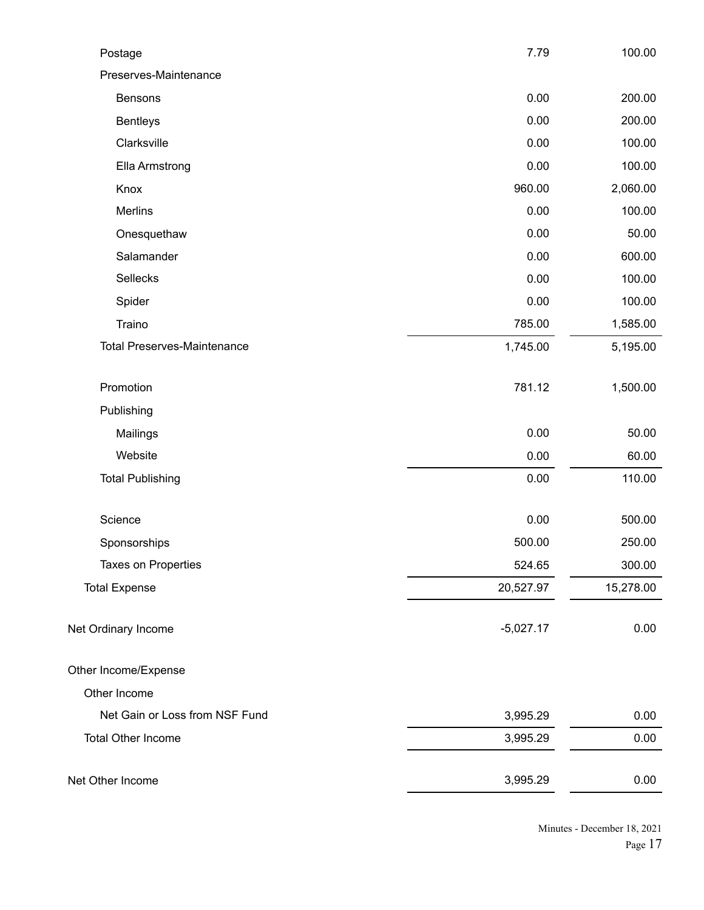| Postage                            | 7.79        | 100.00    |
|------------------------------------|-------------|-----------|
| Preserves-Maintenance              |             |           |
| Bensons                            | 0.00        | 200.00    |
| <b>Bentleys</b>                    | 0.00        | 200.00    |
| Clarksville                        | 0.00        | 100.00    |
| Ella Armstrong                     | 0.00        | 100.00    |
| Knox                               | 960.00      | 2,060.00  |
| Merlins                            | 0.00        | 100.00    |
| Onesquethaw                        | 0.00        | 50.00     |
| Salamander                         | 0.00        | 600.00    |
| Sellecks                           | 0.00        | 100.00    |
| Spider                             | 0.00        | 100.00    |
| Traino                             | 785.00      | 1,585.00  |
| <b>Total Preserves-Maintenance</b> | 1,745.00    | 5,195.00  |
| Promotion                          | 781.12      | 1,500.00  |
| Publishing                         |             |           |
| Mailings                           | 0.00        | 50.00     |
| Website                            | 0.00        | 60.00     |
| <b>Total Publishing</b>            | 0.00        | 110.00    |
| Science                            | 0.00        | 500.00    |
| Sponsorships                       | 500.00      | 250.00    |
| Taxes on Properties                | 524.65      | 300.00    |
| <b>Total Expense</b>               | 20,527.97   | 15,278.00 |
| Net Ordinary Income                | $-5,027.17$ | 0.00      |
| Other Income/Expense               |             |           |
| Other Income                       |             |           |
| Net Gain or Loss from NSF Fund     | 3,995.29    | 0.00      |
| <b>Total Other Income</b>          | 3,995.29    | 0.00      |
| Net Other Income                   | 3,995.29    | 0.00      |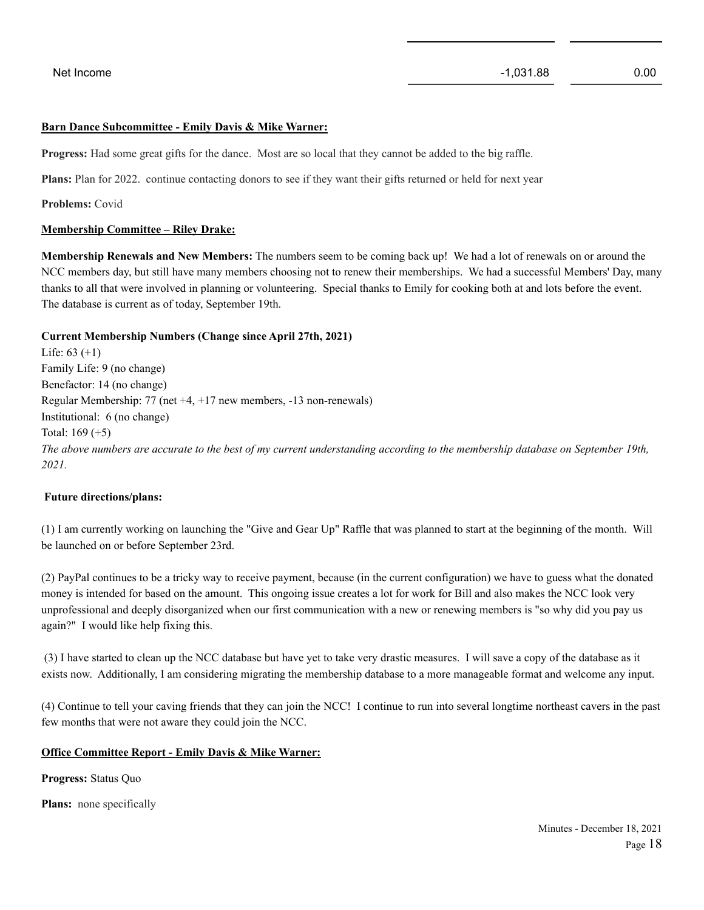# **Barn Dance Subcommittee - Emily Davis & Mike Warner:**

**Progress:** Had some great gifts for the dance. Most are so local that they cannot be added to the big raffle.

**Plans:** Plan for 2022. continue contacting donors to see if they want their gifts returned or held for next year

**Problems:** Covid

# **Membership Committee – Riley Drake:**

**Membership Renewals and New Members:** The numbers seem to be coming back up! We had a lot of renewals on or around the NCC members day, but still have many members choosing not to renew their memberships. We had a successful Members' Day, many thanks to all that were involved in planning or volunteering. Special thanks to Emily for cooking both at and lots before the event. The database is current as of today, September 19th.

# **Current Membership Numbers (Change since April 27th, 2021)**

Life: 63 (+1) Family Life: 9 (no change) Benefactor: 14 (no change) Regular Membership: 77 (net +4, +17 new members, -13 non-renewals) Institutional: 6 (no change) Total: 169 (+5) *The above numbers are accurate to the best of my current understanding according to the membership database on September 19th, 2021.* 

## **Future directions/plans:**

(1) I am currently working on launching the "Give and Gear Up" Raffle that was planned to start at the beginning of the month. Will be launched on or before September 23rd.

(2) PayPal continues to be a tricky way to receive payment, because (in the current configuration) we have to guess what the donated money is intended for based on the amount. This ongoing issue creates a lot for work for Bill and also makes the NCC look very unprofessional and deeply disorganized when our first communication with a new or renewing members is "so why did you pay us again?" I would like help fixing this.

 (3) I have started to clean up the NCC database but have yet to take very drastic measures. I will save a copy of the database as it exists now. Additionally, I am considering migrating the membership database to a more manageable format and welcome any input.

(4) Continue to tell your caving friends that they can join the NCC! I continue to run into several longtime northeast cavers in the past few months that were not aware they could join the NCC.

# **Office Committee Report - Emily Davis & Mike Warner:**

**Progress:** Status Quo

**Plans:** none specifically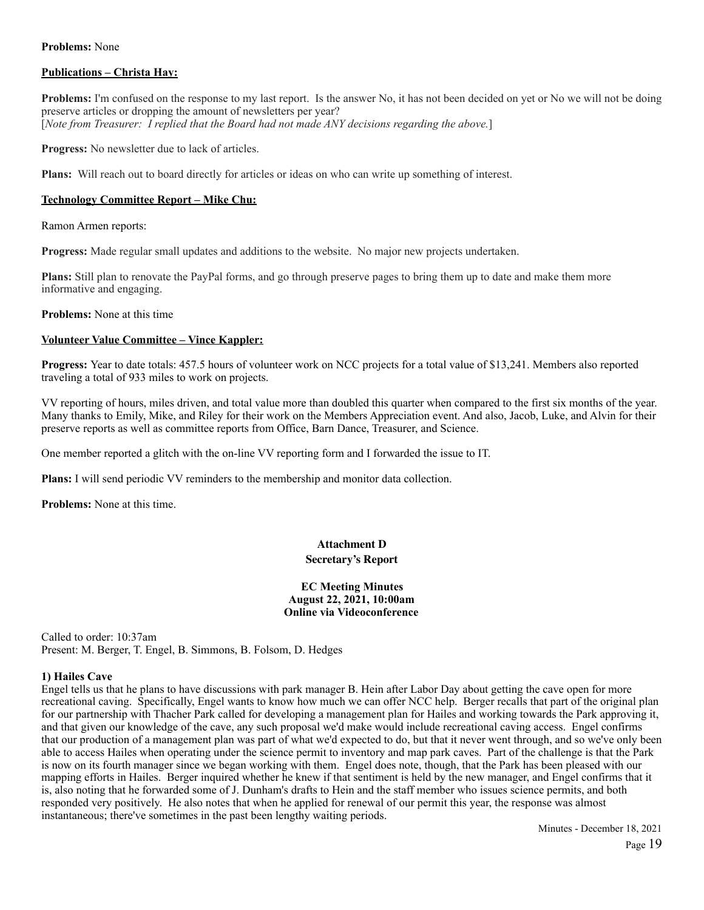## **Problems:** None

## **Publications – Christa Hay:**

**Problems:** I'm confused on the response to my last report. Is the answer No, it has not been decided on yet or No we will not be doing preserve articles or dropping the amount of newsletters per year? [*Note from Treasurer: I replied that the Board had not made ANY decisions regarding the above.*]

**Progress:** No newsletter due to lack of articles.

**Plans:** Will reach out to board directly for articles or ideas on who can write up something of interest.

## **Technology Committee Report – Mike Chu:**

Ramon Armen reports:

**Progress:** Made regular small updates and additions to the website. No major new projects undertaken.

**Plans:** Still plan to renovate the PayPal forms, and go through preserve pages to bring them up to date and make them more informative and engaging.

**Problems:** None at this time

# **Volunteer Value Committee – Vince Kappler:**

**Progress:** Year to date totals: 457.5 hours of volunteer work on NCC projects for a total value of \$13,241. Members also reported traveling a total of 933 miles to work on projects.

VV reporting of hours, miles driven, and total value more than doubled this quarter when compared to the first six months of the year. Many thanks to Emily, Mike, and Riley for their work on the Members Appreciation event. And also, Jacob, Luke, and Alvin for their preserve reports as well as committee reports from Office, Barn Dance, Treasurer, and Science.

One member reported a glitch with the on-line VV reporting form and I forwarded the issue to IT.

**Plans:** I will send periodic VV reminders to the membership and monitor data collection.

**Problems:** None at this time.

# **Attachment D Secretary's Report**

### **EC Meeting Minutes August 22, 2021, 10:00am Online via Videoconference**

Called to order: 10:37am Present: M. Berger, T. Engel, B. Simmons, B. Folsom, D. Hedges

### **1) Hailes Cave**

Engel tells us that he plans to have discussions with park manager B. Hein after Labor Day about getting the cave open for more recreational caving. Specifically, Engel wants to know how much we can offer NCC help. Berger recalls that part of the original plan for our partnership with Thacher Park called for developing a management plan for Hailes and working towards the Park approving it, and that given our knowledge of the cave, any such proposal we'd make would include recreational caving access. Engel confirms that our production of a management plan was part of what we'd expected to do, but that it never went through, and so we've only been able to access Hailes when operating under the science permit to inventory and map park caves. Part of the challenge is that the Park is now on its fourth manager since we began working with them. Engel does note, though, that the Park has been pleased with our mapping efforts in Hailes. Berger inquired whether he knew if that sentiment is held by the new manager, and Engel confirms that it is, also noting that he forwarded some of J. Dunham's drafts to Hein and the staff member who issues science permits, and both responded very positively. He also notes that when he applied for renewal of our permit this year, the response was almost instantaneous; there've sometimes in the past been lengthy waiting periods.

> Minutes - December 18, 2021 Page 19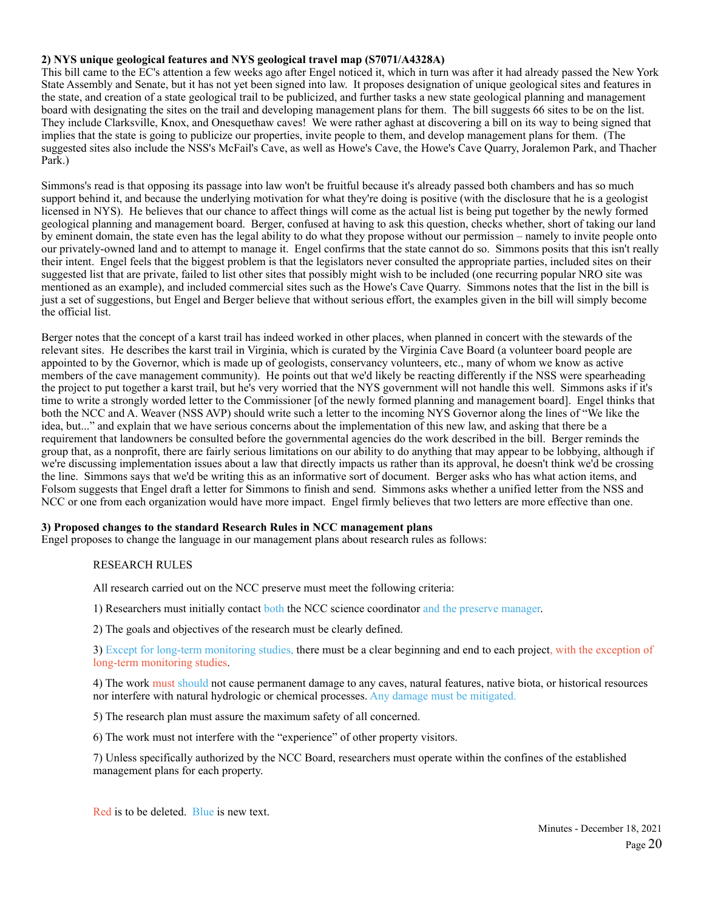## **2) NYS unique geological features and NYS geological travel map (S7071/A4328A)**

This bill came to the EC's attention a few weeks ago after Engel noticed it, which in turn was after it had already passed the New York State Assembly and Senate, but it has not yet been signed into law. It proposes designation of unique geological sites and features in the state, and creation of a state geological trail to be publicized, and further tasks a new state geological planning and management board with designating the sites on the trail and developing management plans for them. The bill suggests 66 sites to be on the list. They include Clarksville, Knox, and Onesquethaw caves! We were rather aghast at discovering a bill on its way to being signed that implies that the state is going to publicize our properties, invite people to them, and develop management plans for them. (The suggested sites also include the NSS's McFail's Cave, as well as Howe's Cave, the Howe's Cave Quarry, Joralemon Park, and Thacher Park.)

Simmons's read is that opposing its passage into law won't be fruitful because it's already passed both chambers and has so much support behind it, and because the underlying motivation for what they're doing is positive (with the disclosure that he is a geologist licensed in NYS). He believes that our chance to affect things will come as the actual list is being put together by the newly formed geological planning and management board. Berger, confused at having to ask this question, checks whether, short of taking our land by eminent domain, the state even has the legal ability to do what they propose without our permission – namely to invite people onto our privately-owned land and to attempt to manage it. Engel confirms that the state cannot do so. Simmons posits that this isn't really their intent. Engel feels that the biggest problem is that the legislators never consulted the appropriate parties, included sites on their suggested list that are private, failed to list other sites that possibly might wish to be included (one recurring popular NRO site was mentioned as an example), and included commercial sites such as the Howe's Cave Quarry. Simmons notes that the list in the bill is just a set of suggestions, but Engel and Berger believe that without serious effort, the examples given in the bill will simply become the official list.

Berger notes that the concept of a karst trail has indeed worked in other places, when planned in concert with the stewards of the relevant sites. He describes the karst trail in Virginia, which is curated by the Virginia Cave Board (a volunteer board people are appointed to by the Governor, which is made up of geologists, conservancy volunteers, etc., many of whom we know as active members of the cave management community). He points out that we'd likely be reacting differently if the NSS were spearheading the project to put together a karst trail, but he's very worried that the NYS government will not handle this well. Simmons asks if it's time to write a strongly worded letter to the Commissioner [of the newly formed planning and management board]. Engel thinks that both the NCC and A. Weaver (NSS AVP) should write such a letter to the incoming NYS Governor along the lines of "We like the idea, but..." and explain that we have serious concerns about the implementation of this new law, and asking that there be a requirement that landowners be consulted before the governmental agencies do the work described in the bill. Berger reminds the group that, as a nonprofit, there are fairly serious limitations on our ability to do anything that may appear to be lobbying, although if we're discussing implementation issues about a law that directly impacts us rather than its approval, he doesn't think we'd be crossing the line. Simmons says that we'd be writing this as an informative sort of document. Berger asks who has what action items, and Folsom suggests that Engel draft a letter for Simmons to finish and send. Simmons asks whether a unified letter from the NSS and NCC or one from each organization would have more impact. Engel firmly believes that two letters are more effective than one.

## **3) Proposed changes to the standard Research Rules in NCC management plans**

Engel proposes to change the language in our management plans about research rules as follows:

## RESEARCH RULES

All research carried out on the NCC preserve must meet the following criteria:

- 1) Researchers must initially contact both the NCC science coordinator and the preserve manager.
- 2) The goals and objectives of the research must be clearly defined.

3) Except for long-term monitoring studies, there must be a clear beginning and end to each project, with the exception of long-term monitoring studies.

4) The work must should not cause permanent damage to any caves, natural features, native biota, or historical resources nor interfere with natural hydrologic or chemical processes. Any damage must be mitigated.

5) The research plan must assure the maximum safety of all concerned.

6) The work must not interfere with the "experience" of other property visitors.

7) Unless specifically authorized by the NCC Board, researchers must operate within the confines of the established management plans for each property.

Red is to be deleted. Blue is new text.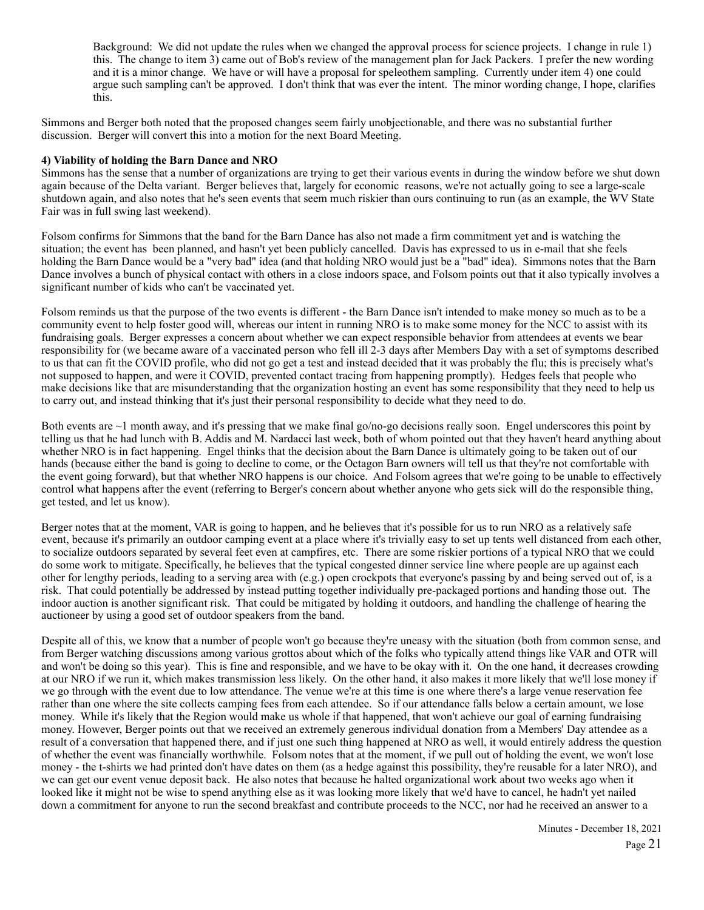Background: We did not update the rules when we changed the approval process for science projects. I change in rule 1) this. The change to item 3) came out of Bob's review of the management plan for Jack Packers. I prefer the new wording and it is a minor change. We have or will have a proposal for speleothem sampling. Currently under item 4) one could argue such sampling can't be approved. I don't think that was ever the intent. The minor wording change, I hope, clarifies this.

Simmons and Berger both noted that the proposed changes seem fairly unobjectionable, and there was no substantial further discussion. Berger will convert this into a motion for the next Board Meeting.

## **4) Viability of holding the Barn Dance and NRO**

Simmons has the sense that a number of organizations are trying to get their various events in during the window before we shut down again because of the Delta variant. Berger believes that, largely for economic reasons, we're not actually going to see a large-scale shutdown again, and also notes that he's seen events that seem much riskier than ours continuing to run (as an example, the WV State Fair was in full swing last weekend).

Folsom confirms for Simmons that the band for the Barn Dance has also not made a firm commitment yet and is watching the situation; the event has been planned, and hasn't yet been publicly cancelled. Davis has expressed to us in e-mail that she feels holding the Barn Dance would be a "very bad" idea (and that holding NRO would just be a "bad" idea). Simmons notes that the Barn Dance involves a bunch of physical contact with others in a close indoors space, and Folsom points out that it also typically involves a significant number of kids who can't be vaccinated yet.

Folsom reminds us that the purpose of the two events is different - the Barn Dance isn't intended to make money so much as to be a community event to help foster good will, whereas our intent in running NRO is to make some money for the NCC to assist with its fundraising goals. Berger expresses a concern about whether we can expect responsible behavior from attendees at events we bear responsibility for (we became aware of a vaccinated person who fell ill 2-3 days after Members Day with a set of symptoms described to us that can fit the COVID profile, who did not go get a test and instead decided that it was probably the flu; this is precisely what's not supposed to happen, and were it COVID, prevented contact tracing from happening promptly). Hedges feels that people who make decisions like that are misunderstanding that the organization hosting an event has some responsibility that they need to help us to carry out, and instead thinking that it's just their personal responsibility to decide what they need to do.

Both events are ~1 month away, and it's pressing that we make final go/no-go decisions really soon. Engel underscores this point by telling us that he had lunch with B. Addis and M. Nardacci last week, both of whom pointed out that they haven't heard anything about whether NRO is in fact happening. Engel thinks that the decision about the Barn Dance is ultimately going to be taken out of our hands (because either the band is going to decline to come, or the Octagon Barn owners will tell us that they're not comfortable with the event going forward), but that whether NRO happens is our choice. And Folsom agrees that we're going to be unable to effectively control what happens after the event (referring to Berger's concern about whether anyone who gets sick will do the responsible thing, get tested, and let us know).

Berger notes that at the moment, VAR is going to happen, and he believes that it's possible for us to run NRO as a relatively safe event, because it's primarily an outdoor camping event at a place where it's trivially easy to set up tents well distanced from each other, to socialize outdoors separated by several feet even at campfires, etc. There are some riskier portions of a typical NRO that we could do some work to mitigate. Specifically, he believes that the typical congested dinner service line where people are up against each other for lengthy periods, leading to a serving area with (e.g.) open crockpots that everyone's passing by and being served out of, is a risk. That could potentially be addressed by instead putting together individually pre-packaged portions and handing those out. The indoor auction is another significant risk. That could be mitigated by holding it outdoors, and handling the challenge of hearing the auctioneer by using a good set of outdoor speakers from the band.

Despite all of this, we know that a number of people won't go because they're uneasy with the situation (both from common sense, and from Berger watching discussions among various grottos about which of the folks who typically attend things like VAR and OTR will and won't be doing so this year). This is fine and responsible, and we have to be okay with it. On the one hand, it decreases crowding at our NRO if we run it, which makes transmission less likely. On the other hand, it also makes it more likely that we'll lose money if we go through with the event due to low attendance. The venue we're at this time is one where there's a large venue reservation fee rather than one where the site collects camping fees from each attendee. So if our attendance falls below a certain amount, we lose money. While it's likely that the Region would make us whole if that happened, that won't achieve our goal of earning fundraising money. However, Berger points out that we received an extremely generous individual donation from a Members' Day attendee as a result of a conversation that happened there, and if just one such thing happened at NRO as well, it would entirely address the question of whether the event was financially worthwhile. Folsom notes that at the moment, if we pull out of holding the event, we won't lose money - the t-shirts we had printed don't have dates on them (as a hedge against this possibility, they're reusable for a later NRO), and we can get our event venue deposit back. He also notes that because he halted organizational work about two weeks ago when it looked like it might not be wise to spend anything else as it was looking more likely that we'd have to cancel, he hadn't yet nailed down a commitment for anyone to run the second breakfast and contribute proceeds to the NCC, nor had he received an answer to a

> Minutes - December 18, 2021 Page 21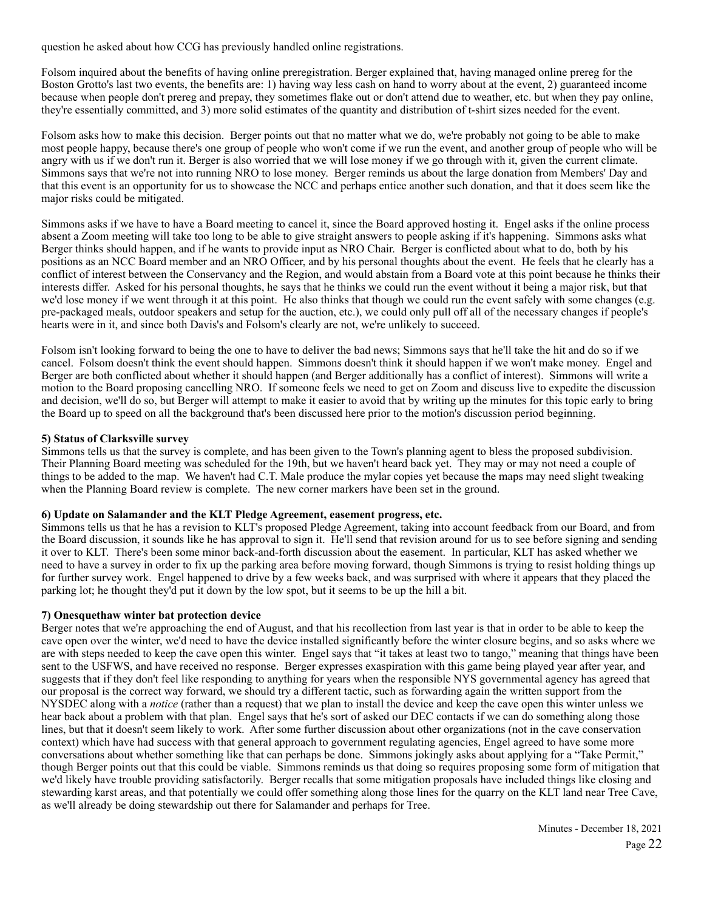question he asked about how CCG has previously handled online registrations.

Folsom inquired about the benefits of having online preregistration. Berger explained that, having managed online prereg for the Boston Grotto's last two events, the benefits are: 1) having way less cash on hand to worry about at the event, 2) guaranteed income because when people don't prereg and prepay, they sometimes flake out or don't attend due to weather, etc. but when they pay online, they're essentially committed, and 3) more solid estimates of the quantity and distribution of t-shirt sizes needed for the event.

Folsom asks how to make this decision. Berger points out that no matter what we do, we're probably not going to be able to make most people happy, because there's one group of people who won't come if we run the event, and another group of people who will be angry with us if we don't run it. Berger is also worried that we will lose money if we go through with it, given the current climate. Simmons says that we're not into running NRO to lose money. Berger reminds us about the large donation from Members' Day and that this event is an opportunity for us to showcase the NCC and perhaps entice another such donation, and that it does seem like the major risks could be mitigated.

Simmons asks if we have to have a Board meeting to cancel it, since the Board approved hosting it. Engel asks if the online process absent a Zoom meeting will take too long to be able to give straight answers to people asking if it's happening. Simmons asks what Berger thinks should happen, and if he wants to provide input as NRO Chair. Berger is conflicted about what to do, both by his positions as an NCC Board member and an NRO Officer, and by his personal thoughts about the event. He feels that he clearly has a conflict of interest between the Conservancy and the Region, and would abstain from a Board vote at this point because he thinks their interests differ. Asked for his personal thoughts, he says that he thinks we could run the event without it being a major risk, but that we'd lose money if we went through it at this point. He also thinks that though we could run the event safely with some changes (e.g. pre-packaged meals, outdoor speakers and setup for the auction, etc.), we could only pull off all of the necessary changes if people's hearts were in it, and since both Davis's and Folsom's clearly are not, we're unlikely to succeed.

Folsom isn't looking forward to being the one to have to deliver the bad news; Simmons says that he'll take the hit and do so if we cancel. Folsom doesn't think the event should happen. Simmons doesn't think it should happen if we won't make money. Engel and Berger are both conflicted about whether it should happen (and Berger additionally has a conflict of interest). Simmons will write a motion to the Board proposing cancelling NRO. If someone feels we need to get on Zoom and discuss live to expedite the discussion and decision, we'll do so, but Berger will attempt to make it easier to avoid that by writing up the minutes for this topic early to bring the Board up to speed on all the background that's been discussed here prior to the motion's discussion period beginning.

## **5) Status of Clarksville survey**

Simmons tells us that the survey is complete, and has been given to the Town's planning agent to bless the proposed subdivision. Their Planning Board meeting was scheduled for the 19th, but we haven't heard back yet. They may or may not need a couple of things to be added to the map. We haven't had C.T. Male produce the mylar copies yet because the maps may need slight tweaking when the Planning Board review is complete. The new corner markers have been set in the ground.

### **6) Update on Salamander and the KLT Pledge Agreement, easement progress, etc.**

Simmons tells us that he has a revision to KLT's proposed Pledge Agreement, taking into account feedback from our Board, and from the Board discussion, it sounds like he has approval to sign it. He'll send that revision around for us to see before signing and sending it over to KLT. There's been some minor back-and-forth discussion about the easement. In particular, KLT has asked whether we need to have a survey in order to fix up the parking area before moving forward, though Simmons is trying to resist holding things up for further survey work. Engel happened to drive by a few weeks back, and was surprised with where it appears that they placed the parking lot; he thought they'd put it down by the low spot, but it seems to be up the hill a bit.

## **7) Onesquethaw winter bat protection device**

Berger notes that we're approaching the end of August, and that his recollection from last year is that in order to be able to keep the cave open over the winter, we'd need to have the device installed significantly before the winter closure begins, and so asks where we are with steps needed to keep the cave open this winter. Engel says that "it takes at least two to tango," meaning that things have been sent to the USFWS, and have received no response. Berger expresses exaspiration with this game being played year after year, and suggests that if they don't feel like responding to anything for years when the responsible NYS governmental agency has agreed that our proposal is the correct way forward, we should try a different tactic, such as forwarding again the written support from the NYSDEC along with a *notice* (rather than a request) that we plan to install the device and keep the cave open this winter unless we hear back about a problem with that plan. Engel says that he's sort of asked our DEC contacts if we can do something along those lines, but that it doesn't seem likely to work. After some further discussion about other organizations (not in the cave conservation context) which have had success with that general approach to government regulating agencies, Engel agreed to have some more conversations about whether something like that can perhaps be done. Simmons jokingly asks about applying for a "Take Permit," though Berger points out that this could be viable. Simmons reminds us that doing so requires proposing some form of mitigation that we'd likely have trouble providing satisfactorily. Berger recalls that some mitigation proposals have included things like closing and stewarding karst areas, and that potentially we could offer something along those lines for the quarry on the KLT land near Tree Cave, as we'll already be doing stewardship out there for Salamander and perhaps for Tree.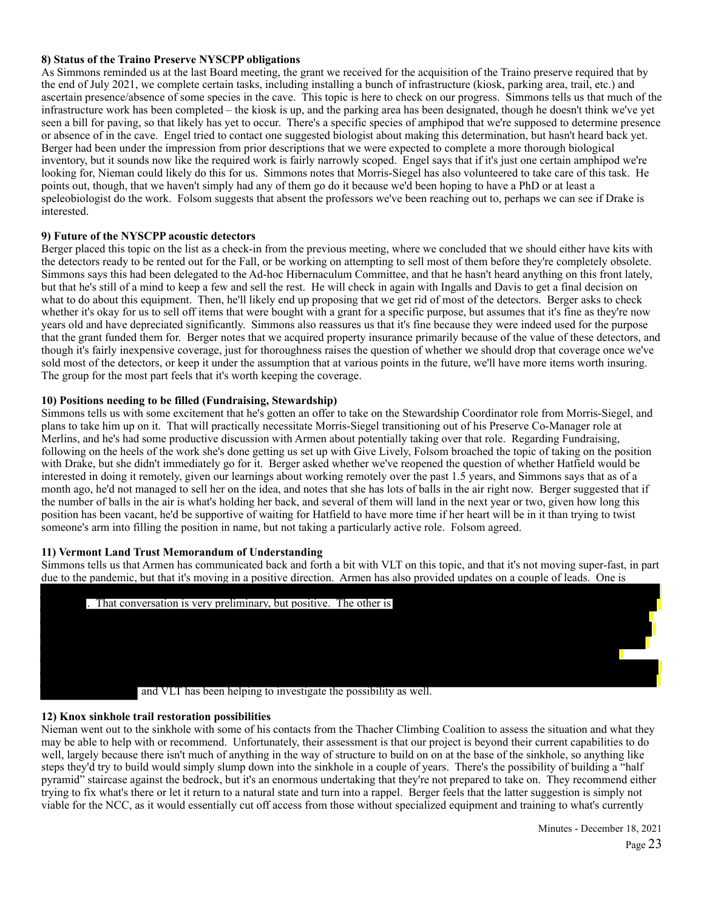## **8) Status of the Traino Preserve NYSCPP obligations**

As Simmons reminded us at the last Board meeting, the grant we received for the acquisition of the Traino preserve required that by the end of July 2021, we complete certain tasks, including installing a bunch of infrastructure (kiosk, parking area, trail, etc.) and ascertain presence/absence of some species in the cave. This topic is here to check on our progress. Simmons tells us that much of the infrastructure work has been completed – the kiosk is up, and the parking area has been designated, though he doesn't think we've yet seen a bill for paving, so that likely has yet to occur. There's a specific species of amphipod that we're supposed to determine presence or absence of in the cave. Engel tried to contact one suggested biologist about making this determination, but hasn't heard back yet. Berger had been under the impression from prior descriptions that we were expected to complete a more thorough biological inventory, but it sounds now like the required work is fairly narrowly scoped. Engel says that if it's just one certain amphipod we're looking for, Nieman could likely do this for us. Simmons notes that Morris-Siegel has also volunteered to take care of this task. He points out, though, that we haven't simply had any of them go do it because we'd been hoping to have a PhD or at least a speleobiologist do the work. Folsom suggests that absent the professors we've been reaching out to, perhaps we can see if Drake is interested.

# **9) Future of the NYSCPP acoustic detectors**

Berger placed this topic on the list as a check-in from the previous meeting, where we concluded that we should either have kits with the detectors ready to be rented out for the Fall, or be working on attempting to sell most of them before they're completely obsolete. Simmons says this had been delegated to the Ad-hoc Hibernaculum Committee, and that he hasn't heard anything on this front lately, but that he's still of a mind to keep a few and sell the rest. He will check in again with Ingalls and Davis to get a final decision on what to do about this equipment. Then, he'll likely end up proposing that we get rid of most of the detectors. Berger asks to check whether it's okay for us to sell off items that were bought with a grant for a specific purpose, but assumes that it's fine as they're now years old and have depreciated significantly. Simmons also reassures us that it's fine because they were indeed used for the purpose that the grant funded them for. Berger notes that we acquired property insurance primarily because of the value of these detectors, and though it's fairly inexpensive coverage, just for thoroughness raises the question of whether we should drop that coverage once we've sold most of the detectors, or keep it under the assumption that at various points in the future, we'll have more items worth insuring. The group for the most part feels that it's worth keeping the coverage.

## **10) Positions needing to be filled (Fundraising, Stewardship)**

Simmons tells us with some excitement that he's gotten an offer to take on the Stewardship Coordinator role from Morris-Siegel, and plans to take him up on it. That will practically necessitate Morris-Siegel transitioning out of his Preserve Co-Manager role at Merlins, and he's had some productive discussion with Armen about potentially taking over that role. Regarding Fundraising, following on the heels of the work she's done getting us set up with Give Lively, Folsom broached the topic of taking on the position with Drake, but she didn't immediately go for it. Berger asked whether we've reopened the question of whether Hatfield would be interested in doing it remotely, given our learnings about working remotely over the past 1.5 years, and Simmons says that as of a month ago, he'd not managed to sell her on the idea, and notes that she has lots of balls in the air right now. Berger suggested that if the number of balls in the air is what's holding her back, and several of them will land in the next year or two, given how long this position has been vacant, he'd be supportive of waiting for Hatfield to have more time if her heart will be in it than trying to twist someone's arm into filling the position in name, but not taking a particularly active role. Folsom agreed.

## **11) Vermont Land Trust Memorandum of Understanding**

Simmons tells us that Armen has communicated back and forth a bit with VLT on this topic, and that it's not moving super-fast, in part due to the pandemic, but that it's moving in a positive direction. Armen has also provided updates on a couple of leads. One is



and VLT has been helping to investigate the possibility as well.

## **12) Knox sinkhole trail restoration possibilities**

Nieman went out to the sinkhole with some of his contacts from the Thacher Climbing Coalition to assess the situation and what they may be able to help with or recommend. Unfortunately, their assessment is that our project is beyond their current capabilities to do well, largely because there isn't much of anything in the way of structure to build on on at the base of the sinkhole, so anything like steps they'd try to build would simply slump down into the sinkhole in a couple of years. There's the possibility of building a "half pyramid" staircase against the bedrock, but it's an enormous undertaking that they're not prepared to take on. They recommend either trying to fix what's there or let it return to a natural state and turn into a rappel. Berger feels that the latter suggestion is simply not viable for the NCC, as it would essentially cut off access from those without specialized equipment and training to what's currently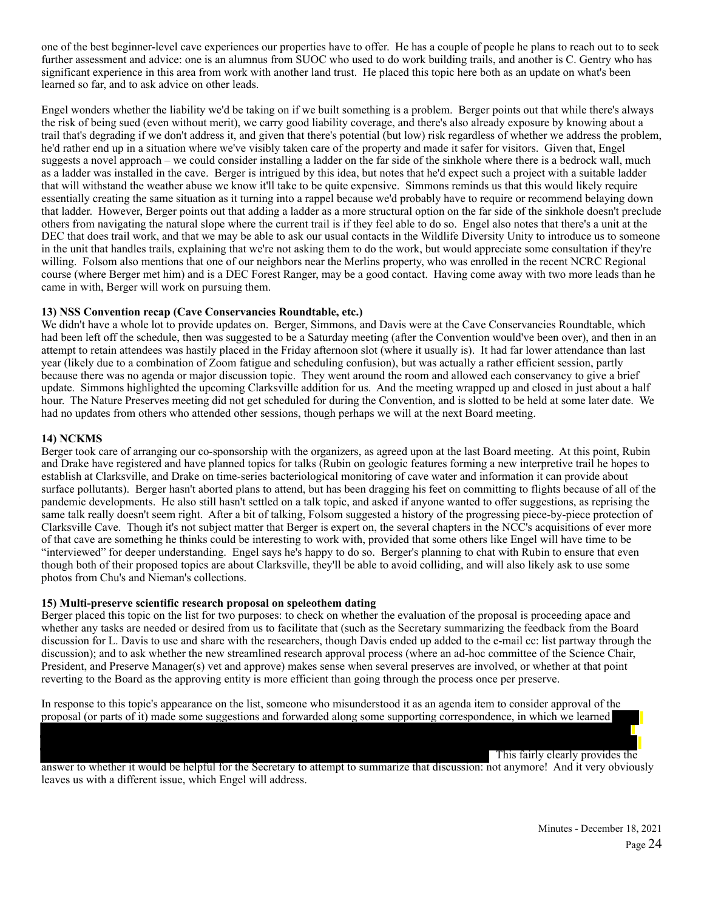one of the best beginner-level cave experiences our properties have to offer. He has a couple of people he plans to reach out to to seek further assessment and advice: one is an alumnus from SUOC who used to do work building trails, and another is C. Gentry who has significant experience in this area from work with another land trust. He placed this topic here both as an update on what's been learned so far, and to ask advice on other leads.

Engel wonders whether the liability we'd be taking on if we built something is a problem. Berger points out that while there's always the risk of being sued (even without merit), we carry good liability coverage, and there's also already exposure by knowing about a trail that's degrading if we don't address it, and given that there's potential (but low) risk regardless of whether we address the problem, he'd rather end up in a situation where we've visibly taken care of the property and made it safer for visitors. Given that, Engel suggests a novel approach – we could consider installing a ladder on the far side of the sinkhole where there is a bedrock wall, much as a ladder was installed in the cave. Berger is intrigued by this idea, but notes that he'd expect such a project with a suitable ladder that will withstand the weather abuse we know it'll take to be quite expensive. Simmons reminds us that this would likely require essentially creating the same situation as it turning into a rappel because we'd probably have to require or recommend belaying down that ladder. However, Berger points out that adding a ladder as a more structural option on the far side of the sinkhole doesn't preclude others from navigating the natural slope where the current trail is if they feel able to do so. Engel also notes that there's a unit at the DEC that does trail work, and that we may be able to ask our usual contacts in the Wildlife Diversity Unity to introduce us to someone in the unit that handles trails, explaining that we're not asking them to do the work, but would appreciate some consultation if they're willing. Folsom also mentions that one of our neighbors near the Merlins property, who was enrolled in the recent NCRC Regional course (where Berger met him) and is a DEC Forest Ranger, may be a good contact. Having come away with two more leads than he came in with, Berger will work on pursuing them.

## **13) NSS Convention recap (Cave Conservancies Roundtable, etc.)**

We didn't have a whole lot to provide updates on. Berger, Simmons, and Davis were at the Cave Conservancies Roundtable, which had been left off the schedule, then was suggested to be a Saturday meeting (after the Convention would've been over), and then in an attempt to retain attendees was hastily placed in the Friday afternoon slot (where it usually is). It had far lower attendance than last year (likely due to a combination of Zoom fatigue and scheduling confusion), but was actually a rather efficient session, partly because there was no agenda or major discussion topic. They went around the room and allowed each conservancy to give a brief update. Simmons highlighted the upcoming Clarksville addition for us. And the meeting wrapped up and closed in just about a half hour. The Nature Preserves meeting did not get scheduled for during the Convention, and is slotted to be held at some later date. We had no updates from others who attended other sessions, though perhaps we will at the next Board meeting.

### **14) NCKMS**

Berger took care of arranging our co-sponsorship with the organizers, as agreed upon at the last Board meeting. At this point, Rubin and Drake have registered and have planned topics for talks (Rubin on geologic features forming a new interpretive trail he hopes to establish at Clarksville, and Drake on time-series bacteriological monitoring of cave water and information it can provide about surface pollutants). Berger hasn't aborted plans to attend, but has been dragging his feet on committing to flights because of all of the pandemic developments. He also still hasn't settled on a talk topic, and asked if anyone wanted to offer suggestions, as reprising the same talk really doesn't seem right. After a bit of talking, Folsom suggested a history of the progressing piece-by-piece protection of Clarksville Cave. Though it's not subject matter that Berger is expert on, the several chapters in the NCC's acquisitions of ever more of that cave are something he thinks could be interesting to work with, provided that some others like Engel will have time to be "interviewed" for deeper understanding. Engel says he's happy to do so. Berger's planning to chat with Rubin to ensure that even though both of their proposed topics are about Clarksville, they'll be able to avoid colliding, and will also likely ask to use some photos from Chu's and Nieman's collections.

### **15) Multi-preserve scientific research proposal on speleothem dating**

Berger placed this topic on the list for two purposes: to check on whether the evaluation of the proposal is proceeding apace and whether any tasks are needed or desired from us to facilitate that (such as the Secretary summarizing the feedback from the Board discussion for L. Davis to use and share with the researchers, though Davis ended up added to the e-mail cc: list partway through the discussion); and to ask whether the new streamlined research approval process (where an ad-hoc committee of the Science Chair, President, and Preserve Manager(s) vet and approve) makes sense when several preserves are involved, or whether at that point reverting to the Board as the approving entity is more efficient than going through the process once per preserve.

In response to this topic's appearance on the list, someone who misunderstood it as an agenda item to consider approval of the proposal (or parts of it) made some suggestions and forwarded along some supporting correspondence, in which we learned

### This fairly clearly provides the

answer to whether it would be helpful for the Secretary to attempt to summarize that discussion: not anymore! And it very obviously leaves us with a different issue, which Engel will address.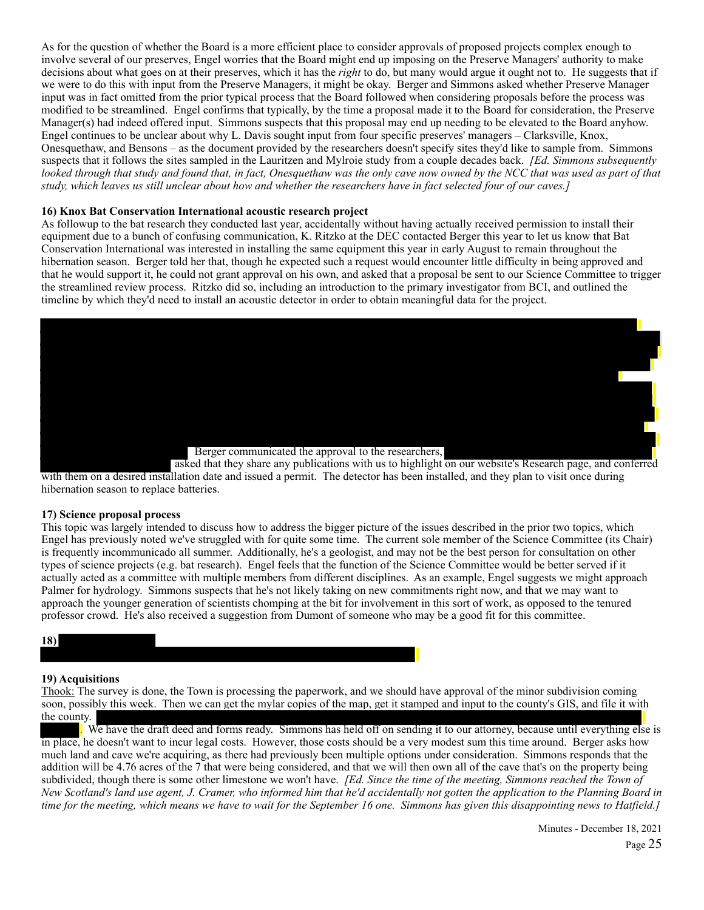As for the question of whether the Board is a more efficient place to consider approvals of proposed projects complex enough to involve several of our preserves, Engel worries that the Board might end up imposing on the Preserve Managers' authority to make decisions about what goes on at their preserves, which it has the *right* to do, but many would argue it ought not to. He suggests that if we were to do this with input from the Preserve Managers, it might be okay. Berger and Simmons asked whether Preserve Manager input was in fact omitted from the prior typical process that the Board followed when considering proposals before the process was modified to be streamlined. Engel confirms that typically, by the time a proposal made it to the Board for consideration, the Preserve Manager(s) had indeed offered input. Simmons suspects that this proposal may end up needing to be elevated to the Board anyhow. Engel continues to be unclear about why L. Davis sought input from four specific preserves' managers – Clarksville, Knox, Onesquethaw, and Bensons – as the document provided by the researchers doesn't specify sites they'd like to sample from. Simmons suspects that it follows the sites sampled in the Lauritzen and Mylroie study from a couple decades back. *[Ed. Simmons subsequently looked through that study and found that, in fact, Onesquethaw was the only cave now owned by the NCC that was used as part of that study, which leaves us still unclear about how and whether the researchers have in fact selected four of our caves.]*

## **16) Knox Bat Conservation International acoustic research project**

As followup to the bat research they conducted last year, accidentally without having actually received permission to install their equipment due to a bunch of confusing communication, K. Ritzko at the DEC contacted Berger this year to let us know that Bat Conservation International was interested in installing the same equipment this year in early August to remain throughout the hibernation season. Berger told her that, though he expected such a request would encounter little difficulty in being approved and that he would support it, he could not grant approval on his own, and asked that a proposal be sent to our Science Committee to trigger the streamlined review process. Ritzko did so, including an introduction to the primary investigator from BCI, and outlined the timeline by which they'd need to install an acoustic detector in order to obtain meaningful data for the project.



with them on a desired installation date and issued a permit. The detector has been installed, and they plan to visit once during hibernation season to replace batteries.

### **17) Science proposal process**

This topic was largely intended to discuss how to address the bigger picture of the issues described in the prior two topics, which Engel has previously noted we've struggled with for quite some time. The current sole member of the Science Committee (its Chair) is frequently incommunicado all summer. Additionally, he's a geologist, and may not be the best person for consultation on other types of science projects (e.g. bat research). Engel feels that the function of the Science Committee would be better served if it actually acted as a committee with multiple members from different disciplines. As an example, Engel suggests we might approach Palmer for hydrology. Simmons suspects that he's not likely taking on new commitments right now, and that we may want to approach the younger generation of scientists chomping at the bit for involvement in this sort of work, as opposed to the tenured professor crowd. He's also received a suggestion from Dumont of someone who may be a good fit for this committee.



## **19) Acquisitions**

Thook: The survey is done, the Town is processing the paperwork, and we should have approval of the minor subdivision coming soon, possibly this week. Then we can get the mylar copies of the map, get it stamped and input to the county's GIS, and file it with the county.

We have the draft deed and forms ready. Simmons has held off on sending it to our attorney, because until everything else is in place, he doesn't want to incur legal costs. However, those costs should be a very modest sum this time around. Berger asks how much land and cave we're acquiring, as there had previously been multiple options under consideration. Simmons responds that the addition will be 4.76 acres of the 7 that were being considered, and that we will then own all of the cave that's on the property being subdivided, though there is some other limestone we won't have. *[Ed. Since the time of the meeting, Simmons reached the Town of New Scotland's land use agent, J. Cramer, who informed him that he'd accidentally not gotten the application to the Planning Board in time for the meeting, which means we have to wait for the September 16 one. Simmons has given this disappointing news to Hatfield.]*

Minutes - December 18, 2021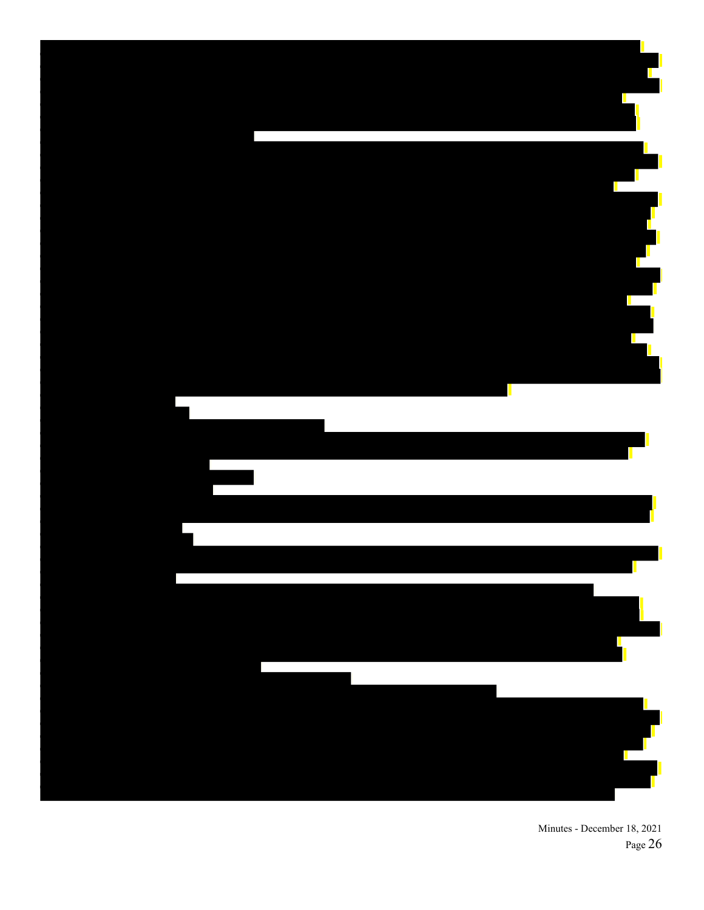

Minutes - December 18, 2021 Page 26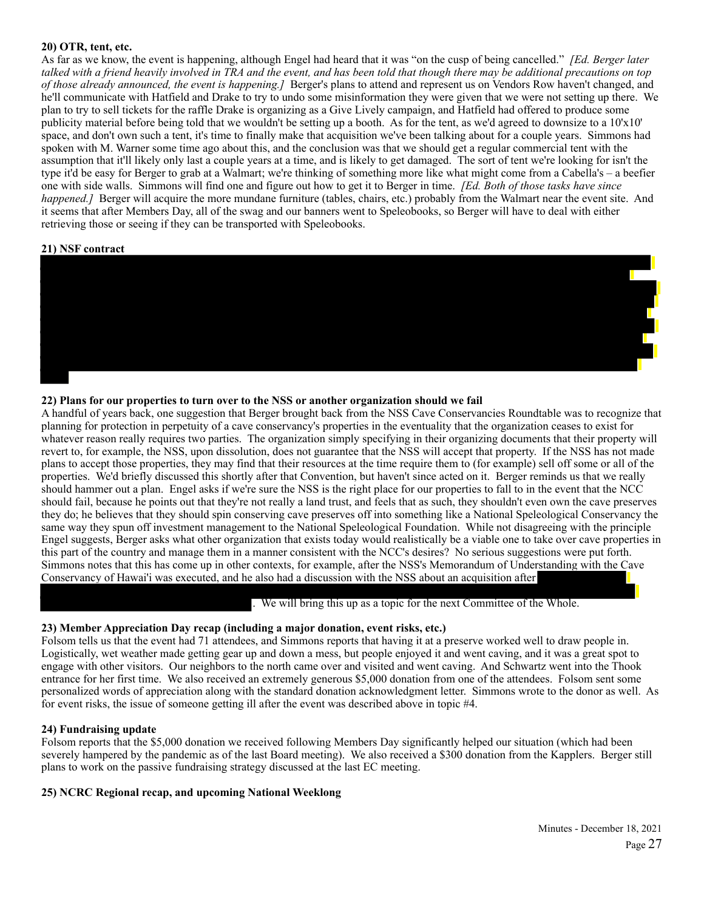### **20) OTR, tent, etc.**

As far as we know, the event is happening, although Engel had heard that it was "on the cusp of being cancelled." *[Ed. Berger later talked with a friend heavily involved in TRA and the event, and has been told that though there may be additional precautions on top of those already announced, the event is happening.]* Berger's plans to attend and represent us on Vendors Row haven't changed, and he'll communicate with Hatfield and Drake to try to undo some misinformation they were given that we were not setting up there. We plan to try to sell tickets for the raffle Drake is organizing as a Give Lively campaign, and Hatfield had offered to produce some publicity material before being told that we wouldn't be setting up a booth. As for the tent, as we'd agreed to downsize to a 10'x10' space, and don't own such a tent, it's time to finally make that acquisition we've been talking about for a couple years. Simmons had spoken with M. Warner some time ago about this, and the conclusion was that we should get a regular commercial tent with the assumption that it'll likely only last a couple years at a time, and is likely to get damaged. The sort of tent we're looking for isn't the type it'd be easy for Berger to grab at a Walmart; we're thinking of something more like what might come from a Cabella's – a beefier one with side walls. Simmons will find one and figure out how to get it to Berger in time. *[Ed. Both of those tasks have since happened.]* Berger will acquire the more mundane furniture (tables, chairs, etc.) probably from the Walmart near the event site. And it seems that after Members Day, all of the swag and our banners went to Speleobooks, so Berger will have to deal with either retrieving those or seeing if they can be transported with Speleobooks.

## **21) NSF contract**



## **22) Plans for our properties to turn over to the NSS or another organization should we fail**

A handful of years back, one suggestion that Berger brought back from the NSS Cave Conservancies Roundtable was to recognize that planning for protection in perpetuity of a cave conservancy's properties in the eventuality that the organization ceases to exist for whatever reason really requires two parties. The organization simply specifying in their organizing documents that their property will revert to, for example, the NSS, upon dissolution, does not guarantee that the NSS will accept that property. If the NSS has not made plans to accept those properties, they may find that their resources at the time require them to (for example) sell off some or all of the properties. We'd briefly discussed this shortly after that Convention, but haven't since acted on it. Berger reminds us that we really should hammer out a plan. Engel asks if we're sure the NSS is the right place for our properties to fall to in the event that the NCC should fail, because he points out that they're not really a land trust, and feels that as such, they shouldn't even own the cave preserves they do; he believes that they should spin conserving cave preserves off into something like a National Speleological Conservancy the same way they spun off investment management to the National Speleological Foundation. While not disagreeing with the principle Engel suggests, Berger asks what other organization that exists today would realistically be a viable one to take over cave properties in this part of the country and manage them in a manner consistent with the NCC's desires? No serious suggestions were put forth. Simmons notes that this has come up in other contexts, for example, after the NSS's Memorandum of Understanding with the Cave Conservancy of Hawai'i was executed, and he also had a discussion with the NSS about an acquisition after

## . We will bring this up as a topic for the next Committee of the Whole.

## **23) Member Appreciation Day recap (including a major donation, event risks, etc.)**

Folsom tells us that the event had 71 attendees, and Simmons reports that having it at a preserve worked well to draw people in. Logistically, wet weather made getting gear up and down a mess, but people enjoyed it and went caving, and it was a great spot to engage with other visitors. Our neighbors to the north came over and visited and went caving. And Schwartz went into the Thook entrance for her first time. We also received an extremely generous \$5,000 donation from one of the attendees. Folsom sent some personalized words of appreciation along with the standard donation acknowledgment letter. Simmons wrote to the donor as well. As for event risks, the issue of someone getting ill after the event was described above in topic #4.

### **24) Fundraising update**

Folsom reports that the \$5,000 donation we received following Members Day significantly helped our situation (which had been severely hampered by the pandemic as of the last Board meeting). We also received a \$300 donation from the Kapplers. Berger still plans to work on the passive fundraising strategy discussed at the last EC meeting.

## **25) NCRC Regional recap, and upcoming National Weeklong**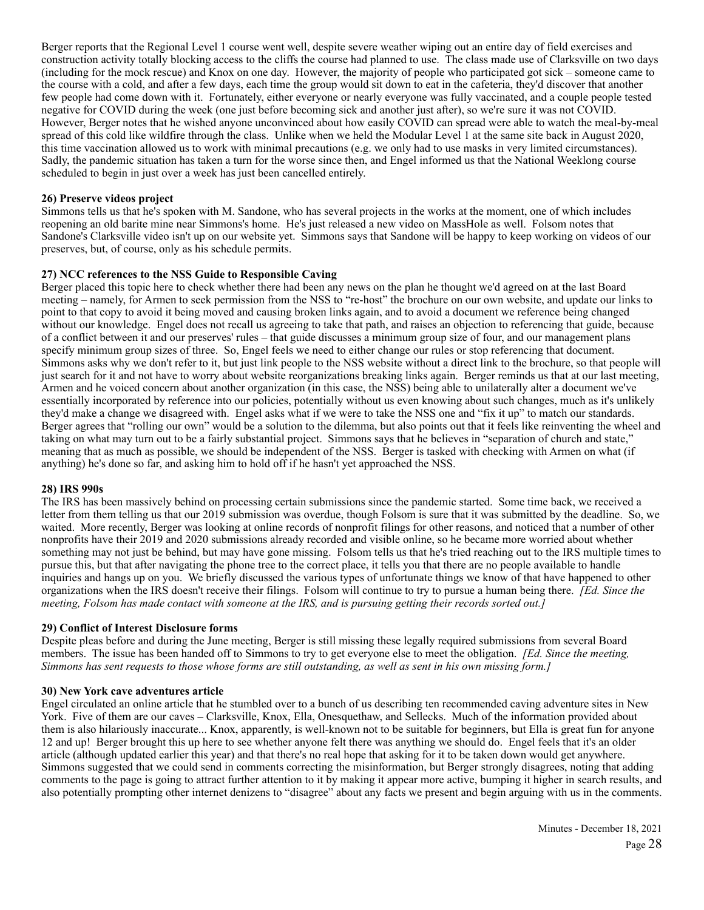Berger reports that the Regional Level 1 course went well, despite severe weather wiping out an entire day of field exercises and construction activity totally blocking access to the cliffs the course had planned to use. The class made use of Clarksville on two days (including for the mock rescue) and Knox on one day. However, the majority of people who participated got sick – someone came to the course with a cold, and after a few days, each time the group would sit down to eat in the cafeteria, they'd discover that another few people had come down with it. Fortunately, either everyone or nearly everyone was fully vaccinated, and a couple people tested negative for COVID during the week (one just before becoming sick and another just after), so we're sure it was not COVID. However, Berger notes that he wished anyone unconvinced about how easily COVID can spread were able to watch the meal-by-meal spread of this cold like wildfire through the class. Unlike when we held the Modular Level 1 at the same site back in August 2020, this time vaccination allowed us to work with minimal precautions (e.g. we only had to use masks in very limited circumstances). Sadly, the pandemic situation has taken a turn for the worse since then, and Engel informed us that the National Weeklong course scheduled to begin in just over a week has just been cancelled entirely.

### **26) Preserve videos project**

Simmons tells us that he's spoken with M. Sandone, who has several projects in the works at the moment, one of which includes reopening an old barite mine near Simmons's home. He's just released a new video on MassHole as well. Folsom notes that Sandone's Clarksville video isn't up on our website yet. Simmons says that Sandone will be happy to keep working on videos of our preserves, but, of course, only as his schedule permits.

## **27) NCC references to the NSS Guide to Responsible Caving**

Berger placed this topic here to check whether there had been any news on the plan he thought we'd agreed on at the last Board meeting – namely, for Armen to seek permission from the NSS to "re-host" the brochure on our own website, and update our links to point to that copy to avoid it being moved and causing broken links again, and to avoid a document we reference being changed without our knowledge. Engel does not recall us agreeing to take that path, and raises an objection to referencing that guide, because of a conflict between it and our preserves' rules – that guide discusses a minimum group size of four, and our management plans specify minimum group sizes of three. So, Engel feels we need to either change our rules or stop referencing that document. Simmons asks why we don't refer to it, but just link people to the NSS website without a direct link to the brochure, so that people will just search for it and not have to worry about website reorganizations breaking links again. Berger reminds us that at our last meeting, Armen and he voiced concern about another organization (in this case, the NSS) being able to unilaterally alter a document we've essentially incorporated by reference into our policies, potentially without us even knowing about such changes, much as it's unlikely they'd make a change we disagreed with. Engel asks what if we were to take the NSS one and "fix it up" to match our standards. Berger agrees that "rolling our own" would be a solution to the dilemma, but also points out that it feels like reinventing the wheel and taking on what may turn out to be a fairly substantial project. Simmons says that he believes in "separation of church and state," meaning that as much as possible, we should be independent of the NSS. Berger is tasked with checking with Armen on what (if anything) he's done so far, and asking him to hold off if he hasn't yet approached the NSS.

### **28) IRS 990s**

The IRS has been massively behind on processing certain submissions since the pandemic started. Some time back, we received a letter from them telling us that our 2019 submission was overdue, though Folsom is sure that it was submitted by the deadline. So, we waited. More recently, Berger was looking at online records of nonprofit filings for other reasons, and noticed that a number of other nonprofits have their 2019 and 2020 submissions already recorded and visible online, so he became more worried about whether something may not just be behind, but may have gone missing. Folsom tells us that he's tried reaching out to the IRS multiple times to pursue this, but that after navigating the phone tree to the correct place, it tells you that there are no people available to handle inquiries and hangs up on you. We briefly discussed the various types of unfortunate things we know of that have happened to other organizations when the IRS doesn't receive their filings. Folsom will continue to try to pursue a human being there. *[Ed. Since the meeting, Folsom has made contact with someone at the IRS, and is pursuing getting their records sorted out.]*

### **29) Conflict of Interest Disclosure forms**

Despite pleas before and during the June meeting, Berger is still missing these legally required submissions from several Board members. The issue has been handed off to Simmons to try to get everyone else to meet the obligation. *[Ed. Since the meeting, Simmons has sent requests to those whose forms are still outstanding, as well as sent in his own missing form.]*

### **30) New York cave adventures article**

Engel circulated an online article that he stumbled over to a bunch of us describing ten recommended caving adventure sites in New York. Five of them are our caves – Clarksville, Knox, Ella, Onesquethaw, and Sellecks. Much of the information provided about them is also hilariously inaccurate... Knox, apparently, is well-known not to be suitable for beginners, but Ella is great fun for anyone 12 and up! Berger brought this up here to see whether anyone felt there was anything we should do. Engel feels that it's an older article (although updated earlier this year) and that there's no real hope that asking for it to be taken down would get anywhere. Simmons suggested that we could send in comments correcting the misinformation, but Berger strongly disagrees, noting that adding comments to the page is going to attract further attention to it by making it appear more active, bumping it higher in search results, and also potentially prompting other internet denizens to "disagree" about any facts we present and begin arguing with us in the comments.